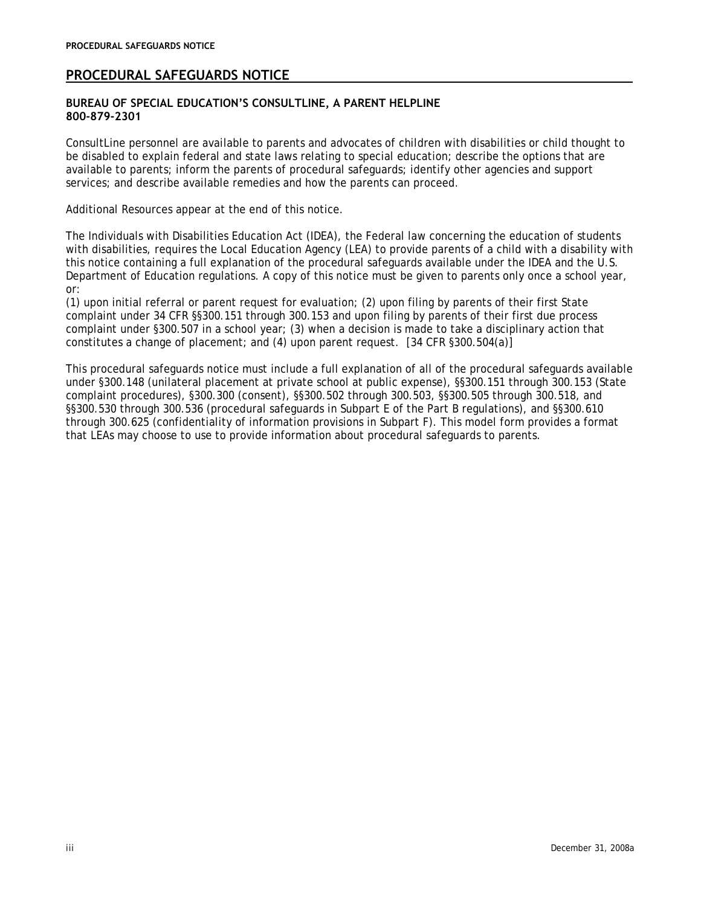# **PROCEDURAL SAFEGUARDS NOTICE**

## **BUREAU OF SPECIAL EDUCATION'S CONSULTLINE, A PARENT HELPLINE 800-879-2301**

ConsultLine personnel are available to parents and advocates of children with disabilities or child thought to be disabled to explain federal and state laws relating to special education; describe the options that are available to parents; inform the parents of procedural safeguards; identify other agencies and support services; and describe available remedies and how the parents can proceed.

Additional Resources appear at the end of this notice.

The Individuals with Disabilities Education Act (IDEA), the Federal law concerning the education of students with disabilities, requires the Local Education Agency (LEA) to provide parents of a child with a disability with this notice containing a full explanation of the procedural safeguards available under the IDEA and the U.S. Department of Education regulations. A copy of this notice must be given to parents only once a school year, or:

(1) upon initial referral or parent request for evaluation; (2) upon filing by parents of their first State complaint under 34 CFR §§300.151 through 300.153 and upon filing by parents of their first due process complaint under §300.507 in a school year; (3) when a decision is made to take a disciplinary action that constitutes a change of placement; and (4) upon parent request. [34 CFR §300.504(a)]

This procedural safeguards notice must include a full explanation of all of the procedural safeguards available under §300.148 (unilateral placement at private school at public expense), §§300.151 through 300.153 (State complaint procedures), §300.300 (consent), §§300.502 through 300.503, §§300.505 through 300.518, and §§300.530 through 300.536 (procedural safeguards in Subpart E of the Part B regulations), and §§300.610 through 300.625 (confidentiality of information provisions in Subpart F). This model form provides a format that LEAs may choose to use to provide information about procedural safeguards to parents.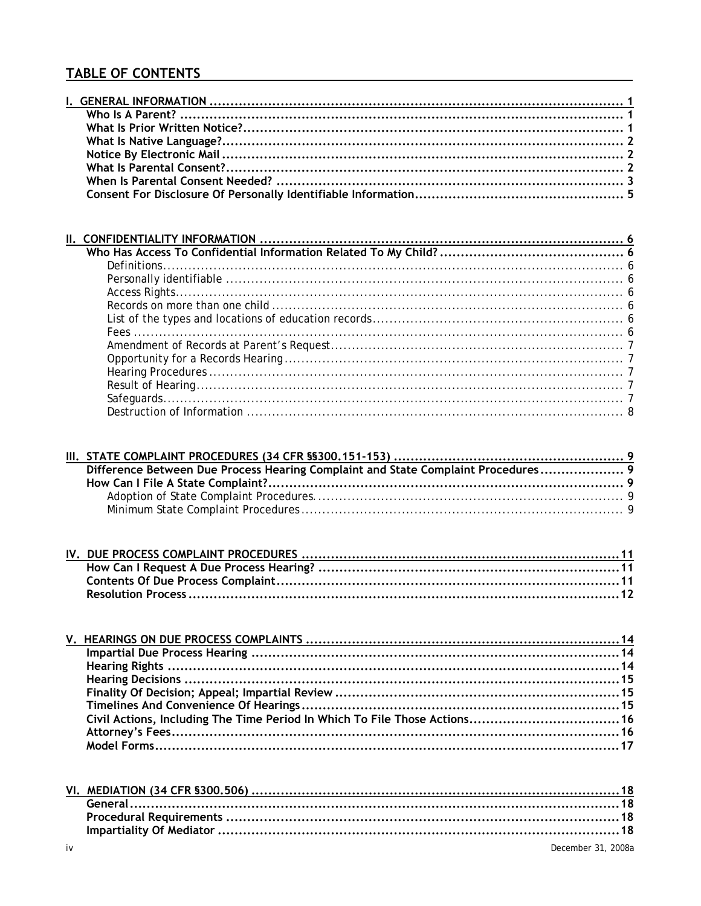# **TABLE OF CONTENTS**

| Difference Between Due Process Hearing Complaint and State Complaint Procedures 9 |  |
|-----------------------------------------------------------------------------------|--|
|                                                                                   |  |
|                                                                                   |  |
|                                                                                   |  |

| Civil Actions, Including The Time Period In Which To File Those Actions 16 |  |
|----------------------------------------------------------------------------|--|
|                                                                            |  |
|                                                                            |  |
|                                                                            |  |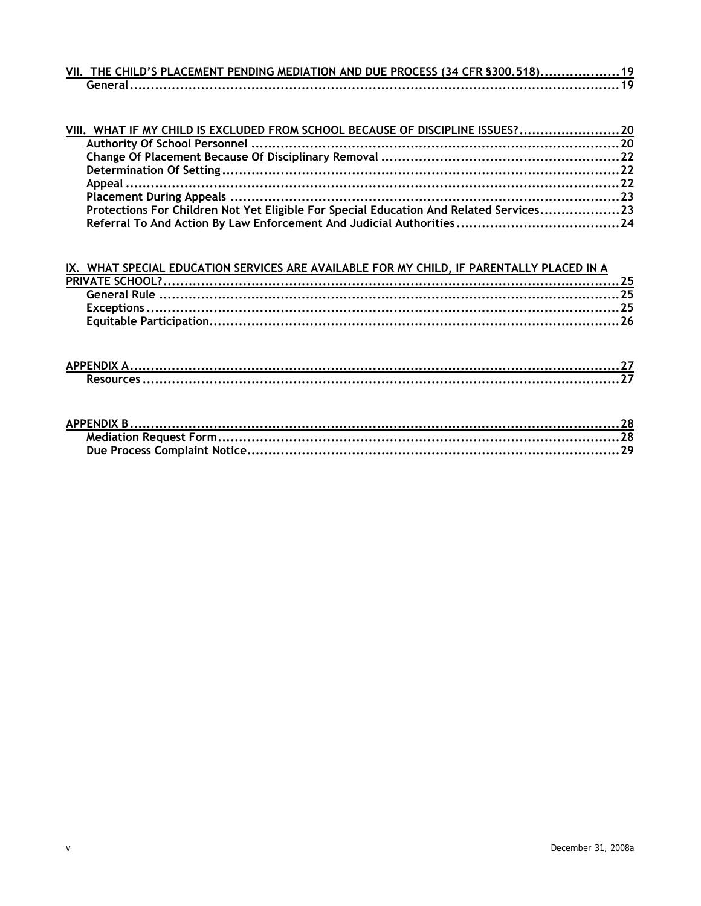| VII. THE CHILD'S PLACEMENT PENDING MEDIATION AND DUE PROCESS (34 CFR §300.518) 19 |  |
|-----------------------------------------------------------------------------------|--|
|                                                                                   |  |

| VIII. WHAT IF MY CHILD IS EXCLUDED FROM SCHOOL BECAUSE OF DISCIPLINE ISSUES? 20        |  |
|----------------------------------------------------------------------------------------|--|
|                                                                                        |  |
|                                                                                        |  |
|                                                                                        |  |
|                                                                                        |  |
|                                                                                        |  |
| Protections For Children Not Yet Eligible For Special Education And Related Services23 |  |
|                                                                                        |  |

IX. WHAT SPECIAL EDUCATION SERVICES ARE AVAILABLE FOR MY CHILD, IF PARENTALLY PLACED IN A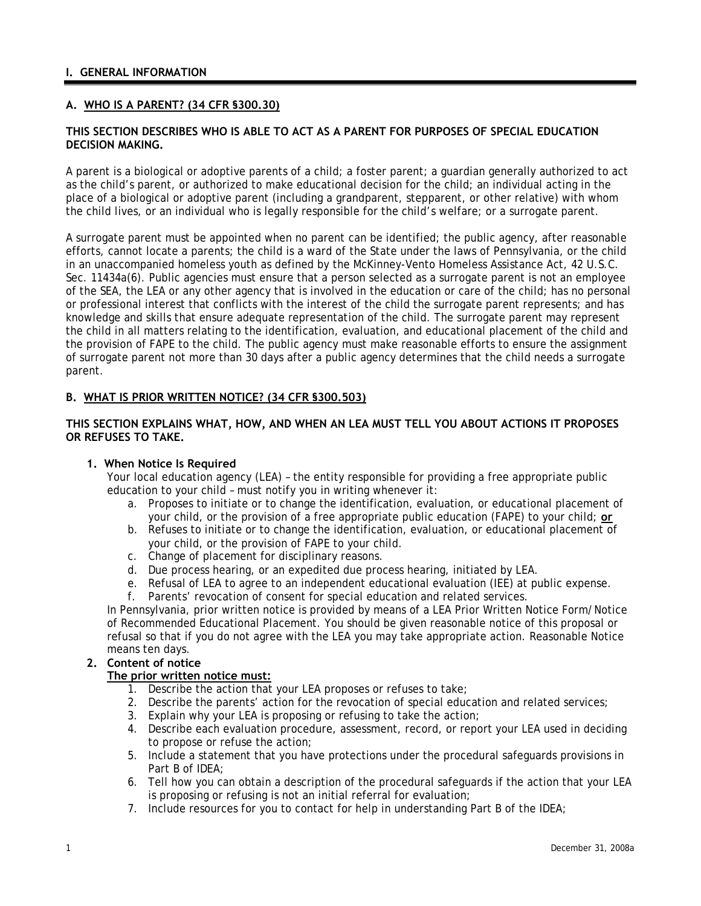## <span id="page-3-0"></span>**A. WHO IS A PARENT? (34 CFR §300.30)**

### **THIS SECTION DESCRIBES WHO IS ABLE TO ACT AS A PARENT FOR PURPOSES OF SPECIAL EDUCATION DECISION MAKING.**

A parent is a biological or adoptive parents of a child; a foster parent; a guardian generally authorized to act as the child's parent, or authorized to make educational decision for the child; an individual acting in the place of a biological or adoptive parent (including a grandparent, stepparent, or other relative) with whom the child lives, or an individual who is legally responsible for the child's welfare; or a surrogate parent.

A surrogate parent must be appointed when no parent can be identified; the public agency, after reasonable efforts, cannot locate a parents; the child is a ward of the State under the laws of Pennsylvania, or the child in an unaccompanied homeless youth as defined by the McKinney-Vento Homeless Assistance Act, 42 U.S.C. Sec. 11434a(6). Public agencies must ensure that a person selected as a surrogate parent is not an employee of the SEA, the LEA or any other agency that is involved in the education or care of the child; has no personal or professional interest that conflicts with the interest of the child the surrogate parent represents; and has knowledge and skills that ensure adequate representation of the child. The surrogate parent may represent the child in all matters relating to the identification, evaluation, and educational placement of the child and the provision of FAPE to the child. The public agency must make reasonable efforts to ensure the assignment of surrogate parent not more than 30 days after a public agency determines that the child needs a surrogate parent.

### **B. WHAT IS PRIOR WRITTEN NOTICE? (34 CFR §300.503)**

## **THIS SECTION EXPLAINS WHAT, HOW, AND WHEN AN LEA MUST TELL YOU ABOUT ACTIONS IT PROPOSES OR REFUSES TO TAKE.**

#### **1. When Notice Is Required**

Your local education agency (LEA) – the entity responsible for providing a free appropriate public education to your child – must notify you in writing whenever it:

- a. Proposes to initiate or to change the identification, evaluation, or educational placement of your child, or the provision of a free appropriate public education (FAPE) to your child; **or**
- b. Refuses to initiate or to change the identification, evaluation, or educational placement of your child, or the provision of FAPE to your child.
- c. Change of placement for disciplinary reasons.
- d. Due process hearing, or an expedited due process hearing, initiated by LEA.
- e. Refusal of LEA to agree to an independent educational evaluation (IEE) at public expense.
- f. Parents' revocation of consent for special education and related services.

In Pennsylvania, prior written notice is provided by means of a LEA Prior Written Notice Form/Notice of Recommended Educational Placement. You should be given reasonable notice of this proposal or refusal so that if you do not agree with the LEA you may take appropriate action. Reasonable Notice means ten days.

#### **2. Content of notice**

#### **The prior written notice must:**

- 1. Describe the action that your LEA proposes or refuses to take;
- 2. Describe the parents' action for the revocation of special education and related services;
- 3. Explain why your LEA is proposing or refusing to take the action;
- 4. Describe each evaluation procedure, assessment, record, or report your LEA used in deciding to propose or refuse the action;
- 5. Include a statement that you have protections under the procedural safeguards provisions in Part B of IDEA;
- 6. Tell how you can obtain a description of the procedural safeguards if the action that your LEA is proposing or refusing is not an initial referral for evaluation;
- 7. Include resources for you to contact for help in understanding Part B of the IDEA;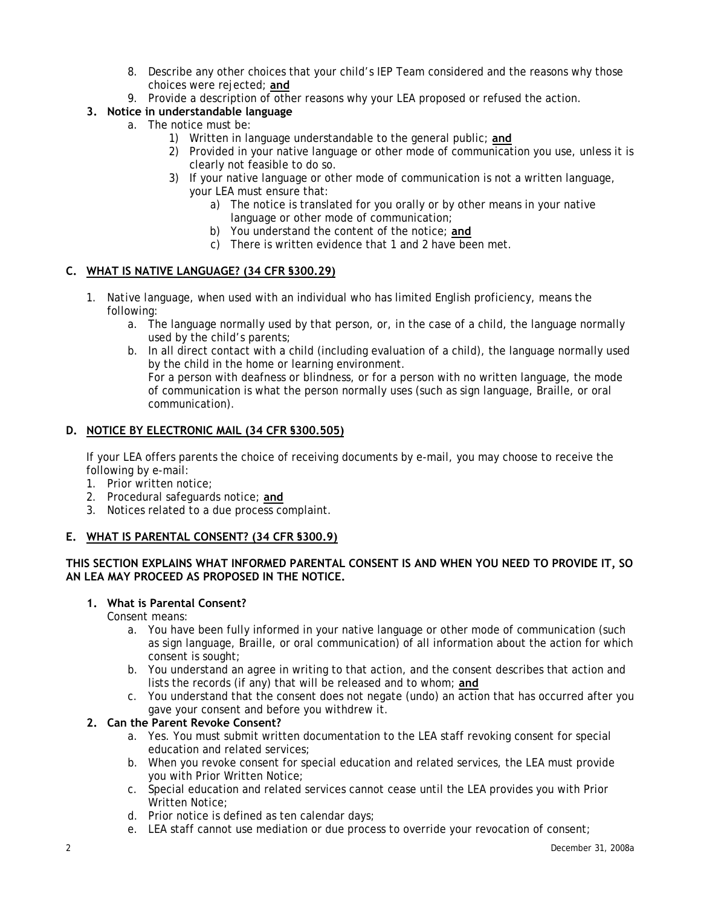- 8. Describe any other choices that your child's IEP Team considered and the reasons why those choices were rejected; **and**
- 9. Provide a description of other reasons why your LEA proposed or refused the action.

# <span id="page-4-0"></span>**3. Notice in understandable language**

- a. The notice must be:
	- 1) Written in language understandable to the general public; **and**
	- 2) Provided in your native language or other mode of communication you use, unless it is clearly not feasible to do so.
	- 3) If your native language or other mode of communication is not a written language, your LEA must ensure that:
		- a) The notice is translated for you orally or by other means in your native language or other mode of communication;
		- b) You understand the content of the notice; **and**
		- c) There is written evidence that 1 and 2 have been met.

## **C. WHAT IS NATIVE LANGUAGE? (34 CFR §300.29)**

- 1. *Native language*, when used with an individual who has limited English proficiency, means the following:
	- a. The language normally used by that person, or, in the case of a child, the language normally used by the child's parents;
	- b. In all direct contact with a child (including evaluation of a child), the language normally used by the child in the home or learning environment. For a person with deafness or blindness, or for a person with no written language, the mode of communication is what the person normally uses (such as sign language, Braille, or oral communication).

## **D. NOTICE BY ELECTRONIC MAIL (34 CFR §300.505)**

If your LEA offers parents the choice of receiving documents by e-mail, you may choose to receive the following by e-mail:

- 1. Prior written notice;
- 2. Procedural safeguards notice; **and**
- 3. Notices related to a due process complaint.

# **E. WHAT IS PARENTAL CONSENT? (34 CFR §300.9)**

## **THIS SECTION EXPLAINS WHAT INFORMED PARENTAL CONSENT IS AND WHEN YOU NEED TO PROVIDE IT, SO AN LEA MAY PROCEED AS PROPOSED IN THE NOTICE.**

## **1. What is Parental Consent?**

*Consent* means:

- a. You have been fully informed in your native language or other mode of communication (such as sign language, Braille, or oral communication) of all information about the action for which consent is sought;
- b. You understand an agree in writing to that action, and the consent describes that action and lists the records (if any) that will be released and to whom; **and**
- c. You understand that the consent does not negate (undo) an action that has occurred after you gave your consent and before you withdrew it.

### **2. Can the Parent Revoke Consent?**

- a. Yes. You must submit written documentation to the LEA staff revoking consent for special education and related services;
- b. When you revoke consent for special education and related services, the LEA must provide you with Prior Written Notice;
- c. Special education and related services cannot cease until the LEA provides you with Prior Written Notice;
- d. Prior notice is defined as ten calendar days;
- e. LEA staff cannot use mediation or due process to override your revocation of consent;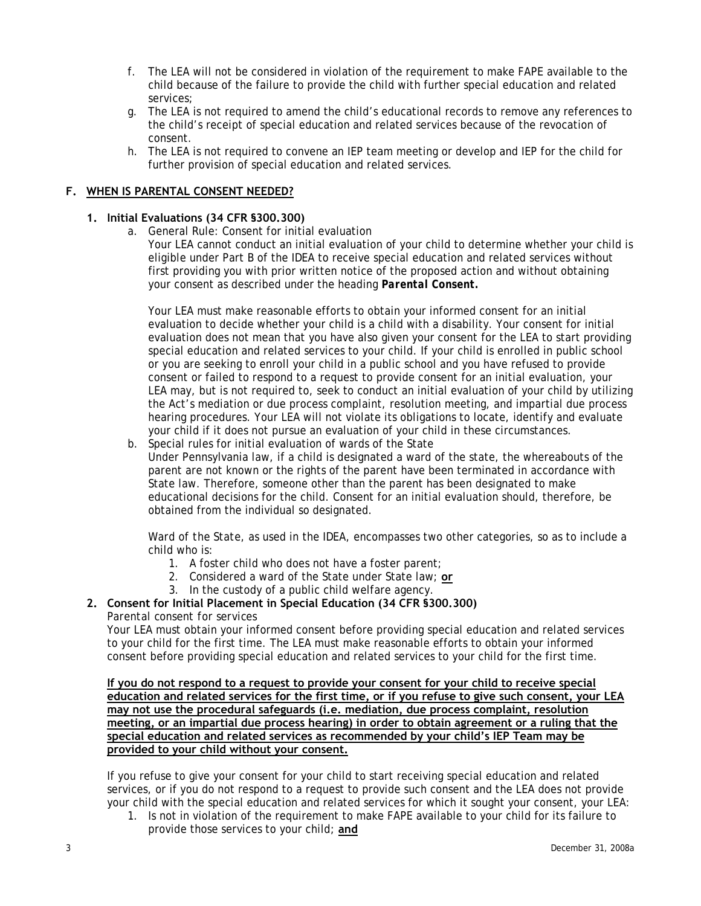- <span id="page-5-0"></span>f. The LEA will not be considered in violation of the requirement to make FAPE available to the child because of the failure to provide the child with further special education and related services;
- g. The LEA is not required to amend the child's educational records to remove any references to the child's receipt of special education and related services because of the revocation of consent.
- h. The LEA is not required to convene an IEP team meeting or develop and IEP for the child for further provision of special education and related services.

## **F. WHEN IS PARENTAL CONSENT NEEDED?**

## **1. Initial Evaluations (34 CFR §300.300)**

a. General Rule: Consent for initial evaluation

Your LEA cannot conduct an initial evaluation of your child to determine whether your child is eligible under Part B of the IDEA to receive special education and related services without first providing you with prior written notice of the proposed action and without obtaining your consent as described under the heading *Parental Consent.*

Your LEA must make reasonable efforts to obtain your informed consent for an initial evaluation to decide whether your child is a child with a disability. Your consent for initial evaluation does not mean that you have also given your consent for the LEA to start providing special education and related services to your child. If your child is enrolled in public school or you are seeking to enroll your child in a public school and you have refused to provide consent or failed to respond to a request to provide consent for an initial evaluation, your LEA may, but is not required to, seek to conduct an initial evaluation of your child by utilizing the Act's mediation or due process complaint, resolution meeting, and impartial due process hearing procedures. Your LEA will not violate its obligations to locate, identify and evaluate your child if it does not pursue an evaluation of your child in these circumstances.

b. Special rules for initial evaluation of wards of the State Under Pennsylvania law, if a child is designated a ward of the state, the whereabouts of the parent are not known or the rights of the parent have been terminated in accordance with State law. Therefore, someone other than the parent has been designated to make educational decisions for the child. Consent for an initial evaluation should, therefore, be obtained from the individual so designated.

*Ward of the State*, as used in the IDEA, encompasses two other categories, so as to include a child who is:

- 1. A foster child who does not have a foster parent;
- 2. Considered a ward of the State under State law; **or**
- 3. In the custody of a public child welfare agency.

# **2. Consent for Initial Placement in Special Education (34 CFR §300.300)**

# *Parental consent for services*

Your LEA must obtain your informed consent before providing special education and related services to your child for the first time. The LEA must make reasonable efforts to obtain your informed consent before providing special education and related services to your child for the first time.

**If you do not respond to a request to provide your consent for your child to receive special education and related services for the first time, or if you refuse to give such consent, your LEA may not use the procedural safeguards (i.e. mediation, due process complaint, resolution meeting, or an impartial due process hearing) in order to obtain agreement or a ruling that the special education and related services as recommended by your child's IEP Team may be provided to your child without your consent.**

If you refuse to give your consent for your child to start receiving special education and related services, or if you do not respond to a request to provide such consent and the LEA does not provide your child with the special education and related services for which it sought your consent, your LEA:

1. Is not in violation of the requirement to make FAPE available to your child for its failure to provide those services to your child; **and**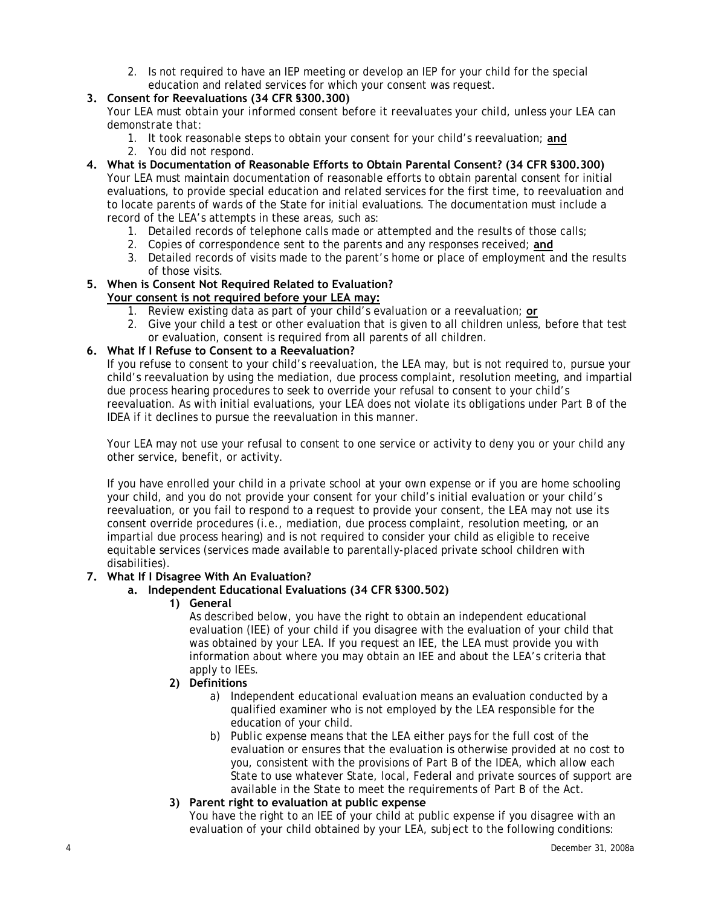2. Is not required to have an IEP meeting or develop an IEP for your child for the special education and related services for which your consent was request.

# **3. Consent for Reevaluations (34 CFR §300.300)**

*Your LEA must obtain your informed consent before it reevaluates your child, unless your LEA can demonstrate that:*

- 1. It took reasonable steps to obtain your consent for your child's reevaluation; **and** 2. You did not respond.
- **4. What is Documentation of Reasonable Efforts to Obtain Parental Consent? (34 CFR §300.300)**  Your LEA must maintain documentation of reasonable efforts to obtain parental consent for initial evaluations, to provide special education and related services for the first time, to reevaluation and to locate parents of wards of the State for initial evaluations. The documentation must include a record of the LEA's attempts in these areas, such as:
	- 1. Detailed records of telephone calls made or attempted and the results of those calls;
	- 2. Copies of correspondence sent to the parents and any responses received; **and**
	- 3. Detailed records of visits made to the parent's home or place of employment and the results of those visits.

#### **5. When is Consent Not Required Related to Evaluation? Your consent is not required before your LEA may:**

- 1. Review existing data as part of your child's evaluation or a reevaluation; **or**
- 2. Give your child a test or other evaluation that is given to all children unless, before that test or evaluation, consent is required from all parents of all children.

## **6. What If I Refuse to Consent to a Reevaluation?**

If you refuse to consent to your child's reevaluation, the LEA may, but is not required to, pursue your child's reevaluation by using the mediation, due process complaint, resolution meeting, and impartial due process hearing procedures to seek to override your refusal to consent to your child's reevaluation. As with initial evaluations, your LEA does not violate its obligations under Part B of the IDEA if it declines to pursue the reevaluation in this manner.

Your LEA may not use your refusal to consent to one service or activity to deny you or your child any other service, benefit, or activity.

If you have enrolled your child in a private school at your own expense or if you are home schooling your child, and you do not provide your consent for your child's initial evaluation or your child's reevaluation, or you fail to respond to a request to provide your consent, the LEA may not use its consent override procedures (i.e., mediation, due process complaint, resolution meeting, or an impartial due process hearing) and is not required to consider your child as eligible to receive equitable services (services made available to parentally-placed private school children with disabilities).

### **7. What If I Disagree With An Evaluation?**

### **a. Independent Educational Evaluations (34 CFR §300.502)**

**1) General** 

 As described below, you have the right to obtain an independent educational evaluation (IEE) of your child if you disagree with the evaluation of your child that was obtained by your LEA. If you request an IEE, the LEA must provide you with information about where you may obtain an IEE and about the LEA's criteria that apply to IEEs.

- **2) Definitions** 
	- a) *Independent educational evaluation* means an evaluation conducted by a qualified examiner who is not employed by the LEA responsible for the education of your child.
	- b) *Public expense* means that the LEA either pays for the full cost of the evaluation or ensures that the evaluation is otherwise provided at no cost to you, consistent with the provisions of Part B of the IDEA, which allow each State to use whatever State, local, Federal and private sources of support are available in the State to meet the requirements of Part B of the Act.

### **3) Parent right to evaluation at public expense**

You have the right to an IEE of your child at public expense if you disagree with an evaluation of your child obtained by your LEA, subject to the following conditions: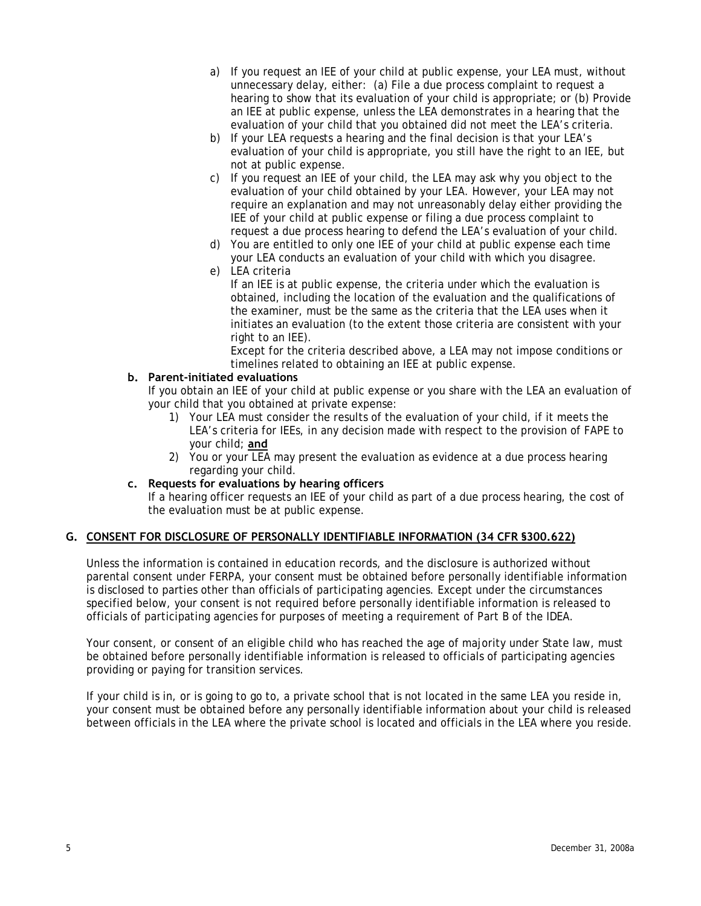- <span id="page-7-0"></span>a) If you request an IEE of your child at public expense, your LEA must, without unnecessary delay, either: (a) File a due process complaint to request a hearing to show that its evaluation of your child is appropriate; or (b) Provide an IEE at public expense, unless the LEA demonstrates in a hearing that the evaluation of your child that you obtained did not meet the LEA's criteria.
- b) If your LEA requests a hearing and the final decision is that your LEA's evaluation of your child is appropriate, you still have the right to an IEE, but not at public expense.
- c) If you request an IEE of your child, the LEA may ask why you object to the evaluation of your child obtained by your LEA. However, your LEA may not require an explanation and may not unreasonably delay either providing the IEE of your child at public expense or filing a due process complaint to request a due process hearing to defend the LEA's evaluation of your child.
- d) You are entitled to only one IEE of your child at public expense each time your LEA conducts an evaluation of your child with which you disagree.
- e) LEA criteria

If an IEE is at public expense, the criteria under which the evaluation is obtained, including the location of the evaluation and the qualifications of the examiner, must be the same as the criteria that the LEA uses when it initiates an evaluation (to the extent those criteria are consistent with your right to an IEE).

Except for the criteria described above, a LEA may not impose conditions or timelines related to obtaining an IEE at public expense.

## **b. Parent-initiated evaluations**

If you obtain an IEE of your child at public expense or you share with the LEA an evaluation of your child that you obtained at private expense:

- 1) Your LEA must consider the results of the evaluation of your child, if it meets the LEA's criteria for IEEs, in any decision made with respect to the provision of FAPE to your child; **and**
- 2) You or your LEA may present the evaluation as evidence at a due process hearing regarding your child.

## **c. Requests for evaluations by hearing officers**

If a hearing officer requests an IEE of your child as part of a due process hearing, the cost of the evaluation must be at public expense.

# **G. CONSENT FOR DISCLOSURE OF PERSONALLY IDENTIFIABLE INFORMATION (34 CFR §300.622)**

Unless the information is contained in education records, and the disclosure is authorized without parental consent under FERPA, your consent must be obtained before personally identifiable information is disclosed to parties other than officials of participating agencies. Except under the circumstances specified below, your consent is not required before personally identifiable information is released to officials of participating agencies for purposes of meeting a requirement of Part B of the IDEA.

Your consent, or consent of an eligible child who has reached the age of majority under State law, must be obtained before personally identifiable information is released to officials of participating agencies providing or paying for transition services.

If your child is in, or is going to go to, a private school that is not located in the same LEA you reside in, your consent must be obtained before any personally identifiable information about your child is released between officials in the LEA where the private school is located and officials in the LEA where you reside.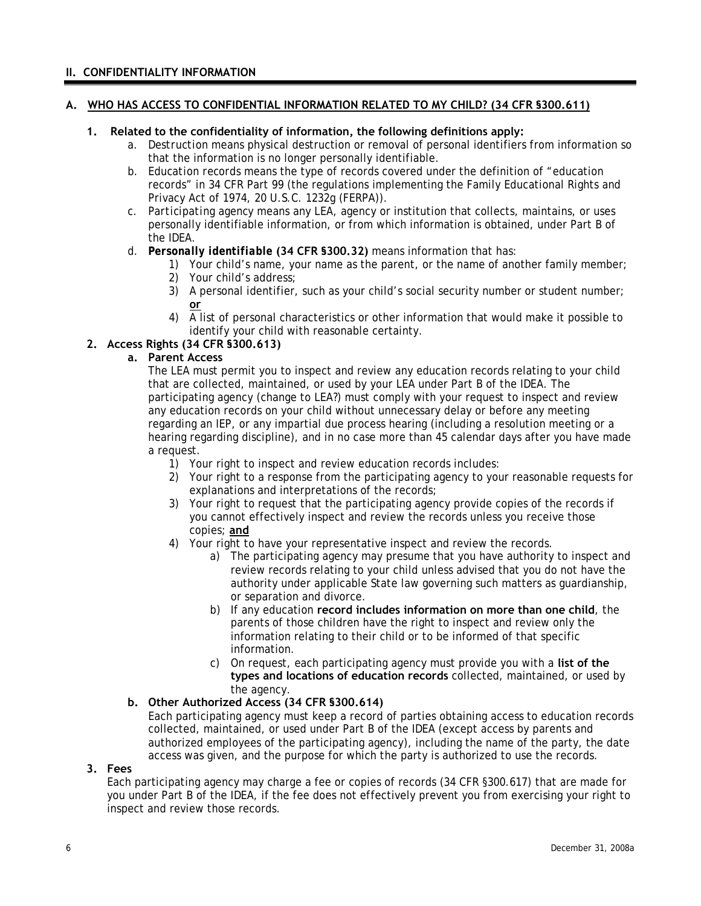### <span id="page-8-0"></span>**A. WHO HAS ACCESS TO CONFIDENTIAL INFORMATION RELATED TO MY CHILD? (34 CFR §300.611)**

## **1. Related to the confidentiality of information, the following definitions apply:**

- a. *Destruction* means physical destruction or removal of personal identifiers from information so that the information is no longer personally identifiable.
- b. *Education records* means the type of records covered under the definition of "education records" in 34 CFR Part 99 (the regulations implementing the Family Educational Rights and Privacy Act of 1974, 20 U.S.C. 1232g (FERPA)).
- c. *Participating agency* means any LEA, agency or institution that collects, maintains, or uses personally identifiable information, or from which information is obtained, under Part B of the IDEA.
- d. *Personally identifiable* **(34 CFR §300.32)** means information that has:
	- 1) Your child's name, your name as the parent, or the name of another family member;
	- 2) Your child's address;
	- 3) A personal identifier, such as your child's social security number or student number; **or**
	- 4) A list of personal characteristics or other information that would make it possible to identify your child with reasonable certainty.

## **2. Access Rights (34 CFR §300.613)**

# **a. Parent Access**

The LEA must permit you to inspect and review any education records relating to your child that are collected, maintained, or used by your LEA under Part B of the IDEA. The participating agency (change to LEA?) must comply with your request to inspect and review any education records on your child without unnecessary delay or before any meeting regarding an IEP, or any impartial due process hearing (including a resolution meeting or a hearing regarding discipline), and in no case more than 45 calendar days after you have made a request.

- 1) Your right to inspect and review education records includes:
- 2) Your right to a response from the participating agency to your reasonable requests for explanations and interpretations of the records;
- 3) Your right to request that the participating agency provide copies of the records if you cannot effectively inspect and review the records unless you receive those copies; **and**
- 4) Your right to have your representative inspect and review the records.
	- a) The participating agency may presume that you have authority to inspect and review records relating to your child unless advised that you do not have the authority under applicable State law governing such matters as guardianship, or separation and divorce.
	- b) If any education **record includes information on more than one child**, the parents of those children have the right to inspect and review only the information relating to their child or to be informed of that specific information.
	- c) On request, each participating agency must provide you with a **list of the types and locations of education records** collected, maintained, or used by the agency.

### **b. Other Authorized Access (34 CFR §300.614)**

Each participating agency must keep a record of parties obtaining access to education records collected, maintained, or used under Part B of the IDEA (except access by parents and authorized employees of the participating agency), including the name of the party, the date access was given, and the purpose for which the party is authorized to use the records.

#### **3. Fees**

Each participating agency may charge a fee or copies of records (34 CFR §300.617) that are made for you under Part B of the IDEA, if the fee does not effectively prevent you from exercising your right to inspect and review those records.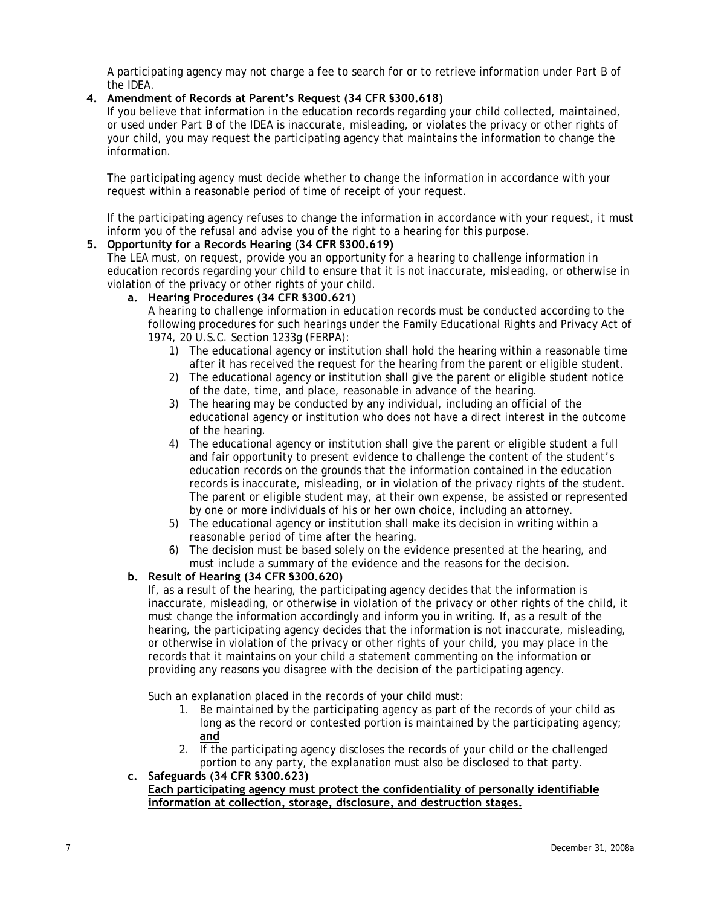<span id="page-9-0"></span>A participating agency may not charge a fee to search for or to retrieve information under Part B of the IDEA.

## **4. Amendment of Records at Parent's Request (34 CFR §300.618)**

If you believe that information in the education records regarding your child collected, maintained, or used under Part B of the IDEA is inaccurate, misleading, or violates the privacy or other rights of your child, you may request the participating agency that maintains the information to change the information.

The participating agency must decide whether to change the information in accordance with your request within a reasonable period of time of receipt of your request.

If the participating agency refuses to change the information in accordance with your request, it must inform you of the refusal and advise you of the right to a hearing for this purpose.

## **5. Opportunity for a Records Hearing (34 CFR §300.619)**

The LEA must, on request, provide you an opportunity for a hearing to challenge information in education records regarding your child to ensure that it is not inaccurate, misleading, or otherwise in violation of the privacy or other rights of your child.

# **a. Hearing Procedures (34 CFR §300.621)**

A hearing to challenge information in education records must be conducted according to the following procedures for such hearings under the Family Educational Rights and Privacy Act of 1974, 20 U.S.C. Section 1233g (FERPA):

- 1) The educational agency or institution shall hold the hearing within a reasonable time after it has received the request for the hearing from the parent or eligible student.
- 2) The educational agency or institution shall give the parent or eligible student notice of the date, time, and place, reasonable in advance of the hearing.
- 3) The hearing may be conducted by any individual, including an official of the educational agency or institution who does not have a direct interest in the outcome of the hearing.
- 4) The educational agency or institution shall give the parent or eligible student a full and fair opportunity to present evidence to challenge the content of the student's education records on the grounds that the information contained in the education records is inaccurate, misleading, or in violation of the privacy rights of the student. The parent or eligible student may, at their own expense, be assisted or represented by one or more individuals of his or her own choice, including an attorney.
- 5) The educational agency or institution shall make its decision in writing within a reasonable period of time after the hearing.
- 6) The decision must be based solely on the evidence presented at the hearing, and must include a summary of the evidence and the reasons for the decision.

### **b. Result of Hearing (34 CFR §300.620)**

If, as a result of the hearing, the participating agency decides that the information is inaccurate, misleading, or otherwise in violation of the privacy or other rights of the child, it must change the information accordingly and inform you in writing. If, as a result of the hearing, the participating agency decides that the information is not inaccurate, misleading, or otherwise in violation of the privacy or other rights of your child, you may place in the records that it maintains on your child a statement commenting on the information or providing any reasons you disagree with the decision of the participating agency.

Such an explanation placed in the records of your child must:

- 1. Be maintained by the participating agency as part of the records of your child as long as the record or contested portion is maintained by the participating agency; **and**
- 2. If the participating agency discloses the records of your child or the challenged portion to any party, the explanation must also be disclosed to that party.
- **c. Safeguards (34 CFR §300.623) Each participating agency must protect the confidentiality of personally identifiable information at collection, storage, disclosure, and destruction stages.**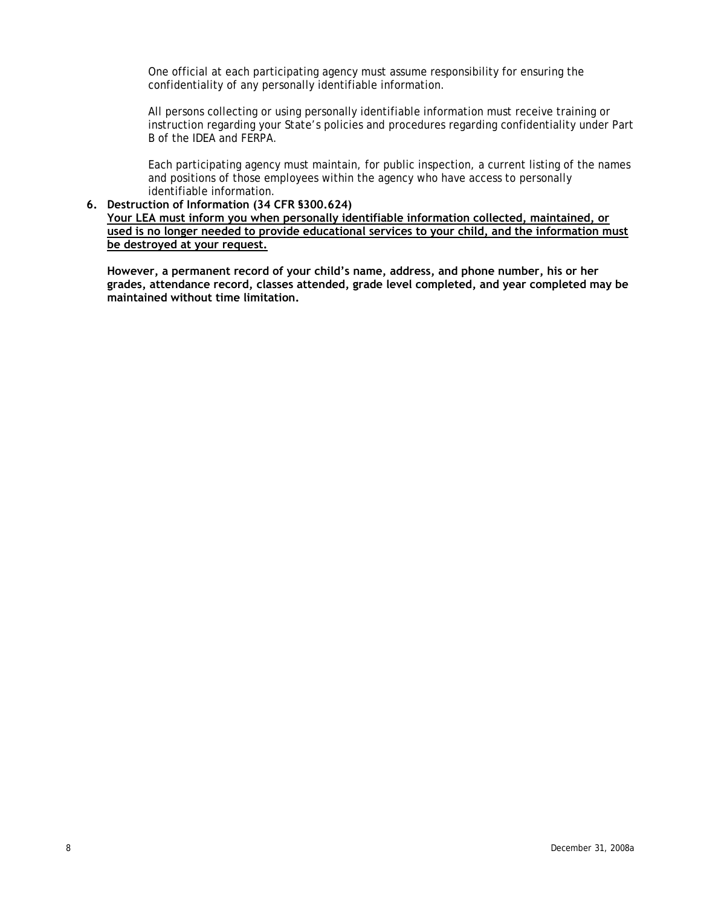<span id="page-10-0"></span>One official at each participating agency must assume responsibility for ensuring the confidentiality of any personally identifiable information.

All persons collecting or using personally identifiable information must receive training or instruction regarding your State's policies and procedures regarding confidentiality under Part B of the IDEA and FERPA.

Each participating agency must maintain, for public inspection, a current listing of the names and positions of those employees within the agency who have access to personally identifiable information.

## **6. Destruction of Information (34 CFR §300.624)**

**Your LEA must inform you when personally identifiable information collected, maintained, or used is no longer needed to provide educational services to your child, and the information must be destroyed at your request.**

**However, a permanent record of your child's name, address, and phone number, his or her grades, attendance record, classes attended, grade level completed, and year completed may be maintained without time limitation.**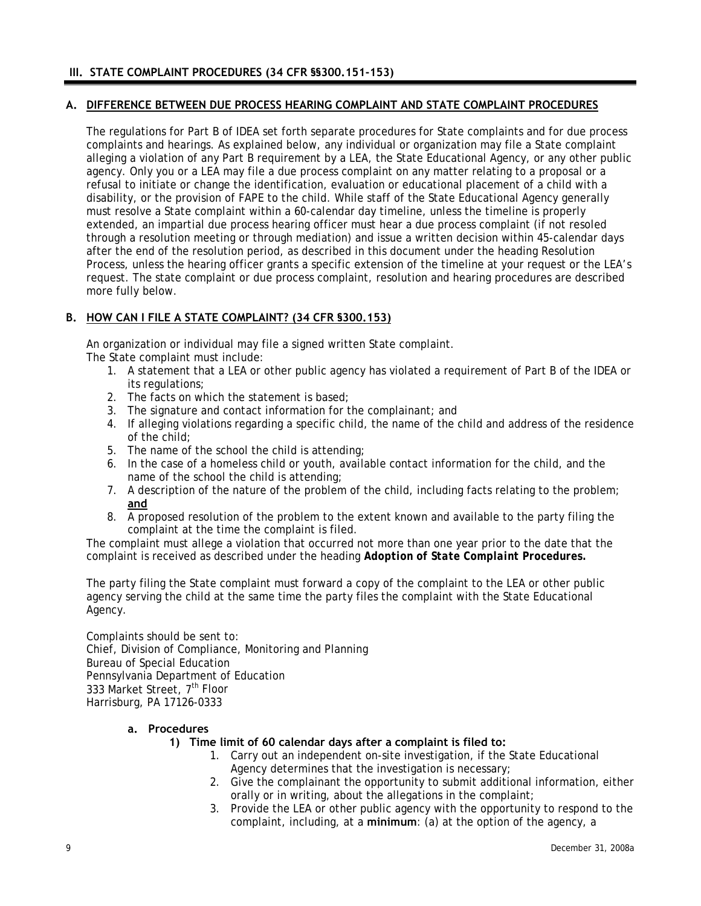## <span id="page-11-0"></span>**A. DIFFERENCE BETWEEN DUE PROCESS HEARING COMPLAINT AND STATE COMPLAINT PROCEDURES**

The regulations for Part B of IDEA set forth separate procedures for State complaints and for due process complaints and hearings. As explained below, any individual or organization may file a State complaint alleging a violation of any Part B requirement by a LEA, the State Educational Agency, or any other public agency. Only you or a LEA may file a due process complaint on any matter relating to a proposal or a refusal to initiate or change the identification, evaluation or educational placement of a child with a disability, or the provision of FAPE to the child. While staff of the State Educational Agency generally must resolve a State complaint within a 60-calendar day timeline, unless the timeline is properly extended, an impartial due process hearing officer must hear a due process complaint (if not resoled through a resolution meeting or through mediation) and issue a written decision within 45-calendar days after the end of the resolution period, as described in this document under the heading Resolution Process, unless the hearing officer grants a specific extension of the timeline at your request or the LEA's request. The state complaint or due process complaint, resolution and hearing procedures are described more fully below.

# **B. HOW CAN I FILE A STATE COMPLAINT? (34 CFR §300.153)**

An organization or individual may file a signed written State complaint. The State complaint must include:

- 1. A statement that a LEA or other public agency has violated a requirement of Part B of the IDEA or its regulations;
- 2. The facts on which the statement is based;
- 3. The signature and contact information for the complainant; and
- 4. If alleging violations regarding a specific child, the name of the child and address of the residence of the child;
- 5. The name of the school the child is attending;
- 6. In the case of a homeless child or youth, available contact information for the child, and the name of the school the child is attending;
- 7. A description of the nature of the problem of the child, including facts relating to the problem; **and**
- 8. A proposed resolution of the problem to the extent known and available to the party filing the complaint at the time the complaint is filed.

The complaint must allege a violation that occurred not more than one year prior to the date that the complaint is received as described under the heading *Adoption of State Complaint Procedures.*

The party filing the State complaint must forward a copy of the complaint to the LEA or other public agency serving the child at the same time the party files the complaint with the State Educational Agency.

Complaints should be sent to: Chief, Division of Compliance, Monitoring and Planning Bureau of Special Education Pennsylvania Department of Education 333 Market Street, 7<sup>th</sup> Floor Harrisburg, PA 17126-0333

### **a. Procedures**

# **1) Time limit of 60 calendar days after a complaint is filed to:**

- 1. Carry out an independent on-site investigation, if the State Educational Agency determines that the investigation is necessary;
- 2. Give the complainant the opportunity to submit additional information, either orally or in writing, about the allegations in the complaint;
- 3. Provide the LEA or other public agency with the opportunity to respond to the complaint, including, at a **minimum**: (a) at the option of the agency, a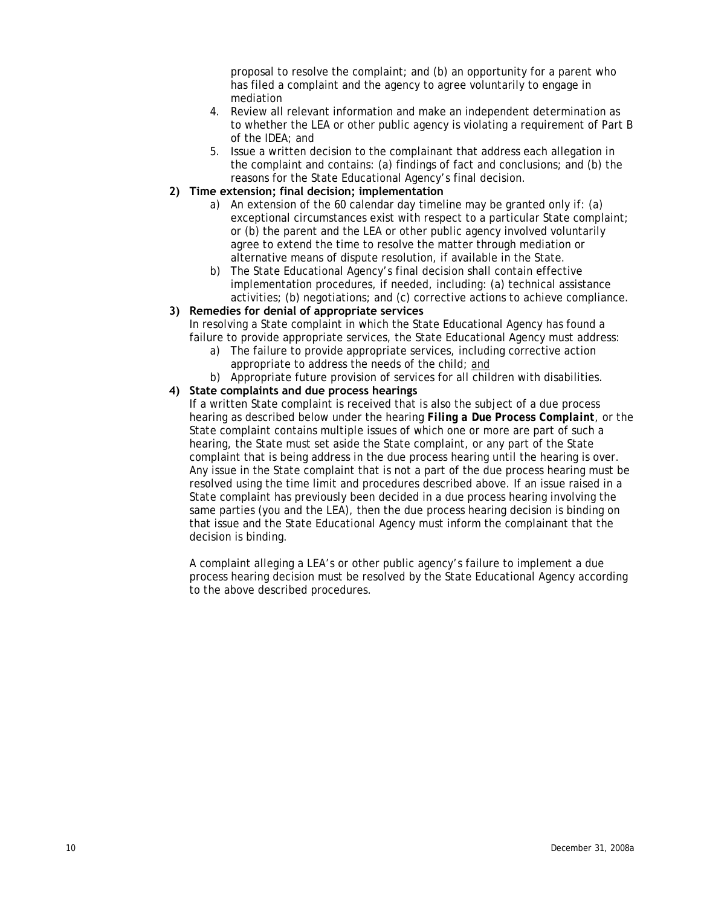proposal to resolve the complaint; and (b) an opportunity for a parent who has filed a complaint and the agency to agree voluntarily to engage in mediation

- <span id="page-12-0"></span>4. Review all relevant information and make an independent determination as to whether the LEA or other public agency is violating a requirement of Part B of the IDEA; and
- 5. Issue a written decision to the complainant that address each allegation in the complaint and contains: (a) findings of fact and conclusions; and (b) the reasons for the State Educational Agency's final decision.
- **2) Time extension; final decision; implementation** 
	- a) An extension of the 60 calendar day timeline may be granted only if: (a) exceptional circumstances exist with respect to a particular State complaint; or (b) the parent and the LEA or other public agency involved voluntarily agree to extend the time to resolve the matter through mediation or alternative means of dispute resolution, if available in the State.
	- b) The State Educational Agency's final decision shall contain effective implementation procedures, if needed, including: (a) technical assistance activities; (b) negotiations; and (c) corrective actions to achieve compliance.

# **3) Remedies for denial of appropriate services**

In resolving a State complaint in which the State Educational Agency has found a failure to provide appropriate services, the State Educational Agency must address:

- a) The failure to provide appropriate services, including corrective action appropriate to address the needs of the child; and
- b) Appropriate future provision of services for all children with disabilities.

# **4) State complaints and due process hearings**

If a written State complaint is received that is also the subject of a due process hearing as described below under the hearing *Filing a Due Process Complaint*, or the State complaint contains multiple issues of which one or more are part of such a hearing, the State must set aside the State complaint, or any part of the State complaint that is being address in the due process hearing until the hearing is over. Any issue in the State complaint that is not a part of the due process hearing must be resolved using the time limit and procedures described above. If an issue raised in a State complaint has previously been decided in a due process hearing involving the same parties (you and the LEA), then the due process hearing decision is binding on that issue and the State Educational Agency must inform the complainant that the decision is binding.

A complaint alleging a LEA's or other public agency's failure to implement a due process hearing decision must be resolved by the State Educational Agency according to the above described procedures.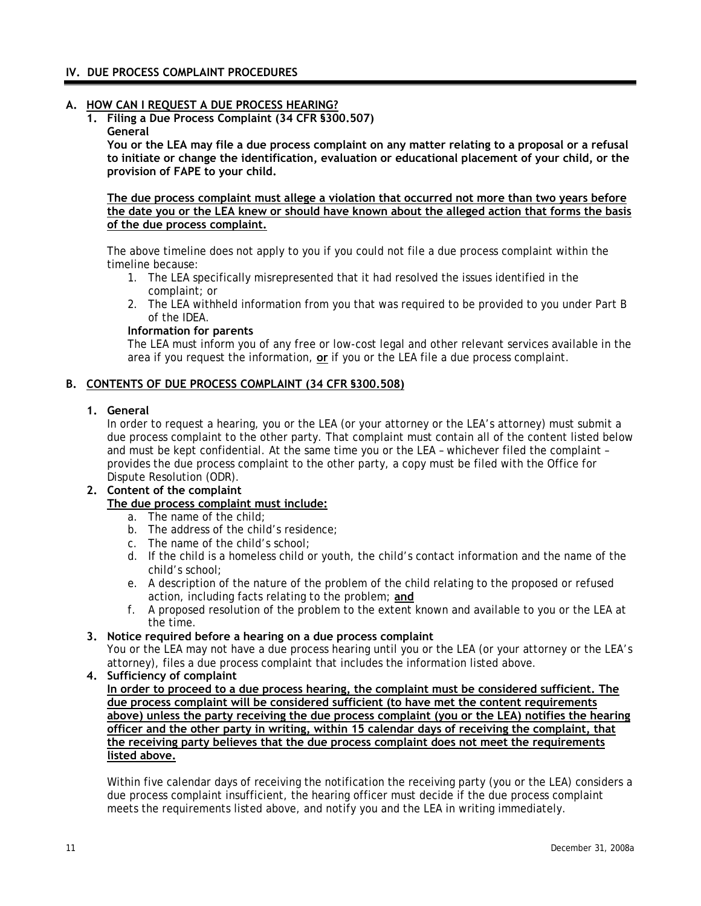## <span id="page-13-0"></span>**IV. DUE PROCESS COMPLAINT PROCEDURES**

## **A. HOW CAN I REQUEST A DUE PROCESS HEARING?**

**1. Filing a Due Process Complaint (34 CFR §300.507) General** 

**You or the LEA may file a due process complaint on any matter relating to a proposal or a refusal to initiate or change the identification, evaluation or educational placement of your child, or the provision of FAPE to your child.** 

**The due process complaint must allege a violation that occurred not more than two years before the date you or the LEA knew or should have known about the alleged action that forms the basis of the due process complaint.**

The above timeline does not apply to you if you could not file a due process complaint within the timeline because:

- 1. The LEA specifically misrepresented that it had resolved the issues identified in the complaint; or
- 2. The LEA withheld information from you that was required to be provided to you under Part B of the IDEA.

### **Information for parents**

The LEA must inform you of any free or low-cost legal and other relevant services available in the area if you request the information, **or** if you or the LEA file a due process complaint.

## **B. CONTENTS OF DUE PROCESS COMPLAINT (34 CFR §300.508)**

#### **1. General**

In order to request a hearing, you or the LEA (or your attorney or the LEA's attorney) must submit a due process complaint to the other party. That complaint must contain all of the content listed below and must be kept confidential. At the same time you or the LEA – whichever filed the complaint – provides the due process complaint to the other party, a copy must be filed with the Office for Dispute Resolution (ODR).

#### **2. Content of the complaint The due process complaint must include:**

- a. The name of the child;
- b. The address of the child's residence;
- c. The name of the child's school;
- d. If the child is a homeless child or youth, the child's contact information and the name of the child's school;
- e. A description of the nature of the problem of the child relating to the proposed or refused action, including facts relating to the problem; **and**
- f. A proposed resolution of the problem to the extent known and available to you or the LEA at the time.

### **3. Notice required before a hearing on a due process complaint**

You or the LEA may not have a due process hearing until you or the LEA (or your attorney or the LEA's attorney), files a due process complaint that includes the information listed above.

## **4. Sufficiency of complaint**

**In order to proceed to a due process hearing, the complaint must be considered sufficient. The due process complaint will be considered sufficient (to have met the content requirements above) unless the party receiving the due process complaint (you or the LEA) notifies the hearing officer and the other party in writing, within 15 calendar days of receiving the complaint, that the receiving party believes that the due process complaint does not meet the requirements listed above.**

Within five calendar days of receiving the notification the receiving party (you or the LEA) considers a due process complaint insufficient, the hearing officer must decide if the due process complaint meets the requirements listed above, and notify you and the LEA in writing immediately.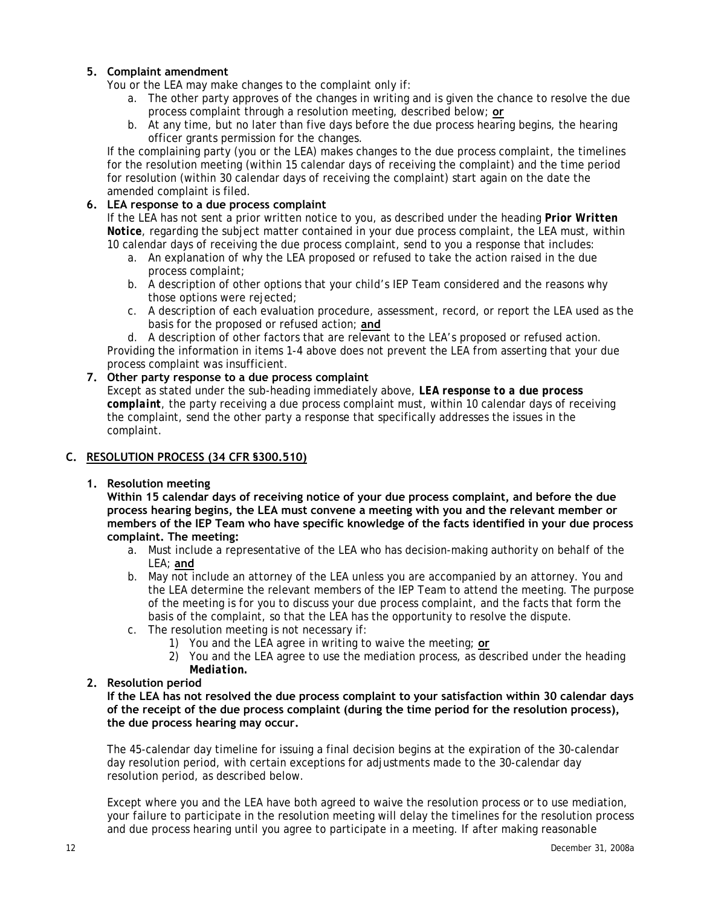# <span id="page-14-0"></span>**5. Complaint amendment**

You or the LEA may make changes to the complaint only if:

- a. The other party approves of the changes in writing and is given the chance to resolve the due process complaint through a resolution meeting, described below; **or**
- b. At any time, but no later than five days before the due process hearing begins, the hearing officer grants permission for the changes.

If the complaining party (you or the LEA) makes changes to the due process complaint, the timelines for the resolution meeting (within 15 calendar days of receiving the complaint) and the time period for resolution (within 30 calendar days of receiving the complaint) start again on the date the amended complaint is filed.

## **6. LEA response to a due process complaint**

If the LEA has not sent a prior written notice to you, as described under the heading *Prior Written Notice*, regarding the subject matter contained in your due process complaint, the LEA must, within 10 calendar days of receiving the due process complaint, send to you a response that includes:

- a. An explanation of why the LEA proposed or refused to take the action raised in the due process complaint;
- b. A description of other options that your child's IEP Team considered and the reasons why those options were rejected;
- c. A description of each evaluation procedure, assessment, record, or report the LEA used as the basis for the proposed or refused action; **and**
- d. A description of other factors that are relevant to the LEA's proposed or refused action.

Providing the information in items 1-4 above does not prevent the LEA from asserting that your due process complaint was insufficient.

## **7. Other party response to a due process complaint**

Except as stated under the sub-heading immediately above, *LEA response to a due process complaint*, the party receiving a due process complaint must, within 10 calendar days of receiving the complaint, send the other party a response that specifically addresses the issues in the complaint.

# **C. RESOLUTION PROCESS (34 CFR §300.510)**

### **1. Resolution meeting**

**Within 15 calendar days of receiving notice of your due process complaint, and before the due process hearing begins, the LEA must convene a meeting with you and the relevant member or members of the IEP Team who have specific knowledge of the facts identified in your due process complaint. The meeting:** 

- a. Must include a representative of the LEA who has decision-making authority on behalf of the LEA; **and**
- b. May not include an attorney of the LEA unless you are accompanied by an attorney. You and the LEA determine the relevant members of the IEP Team to attend the meeting. The purpose of the meeting is for you to discuss your due process complaint, and the facts that form the basis of the complaint, so that the LEA has the opportunity to resolve the dispute.
- c. The resolution meeting is not necessary if:
	- 1) You and the LEA agree in writing to waive the meeting; **or**
	- 2) You and the LEA agree to use the mediation process, as described under the heading *Mediation.*

### **2. Resolution period**

**If the LEA has not resolved the due process complaint to your satisfaction within 30 calendar days of the receipt of the due process complaint (during the time period for the resolution process), the due process hearing may occur.**

The 45-calendar day timeline for issuing a final decision begins at the expiration of the 30-calendar day resolution period, with certain exceptions for adjustments made to the 30-calendar day resolution period, as described below.

Except where you and the LEA have both agreed to waive the resolution process or to use mediation, your failure to participate in the resolution meeting will delay the timelines for the resolution process and due process hearing until you agree to participate in a meeting. If after making reasonable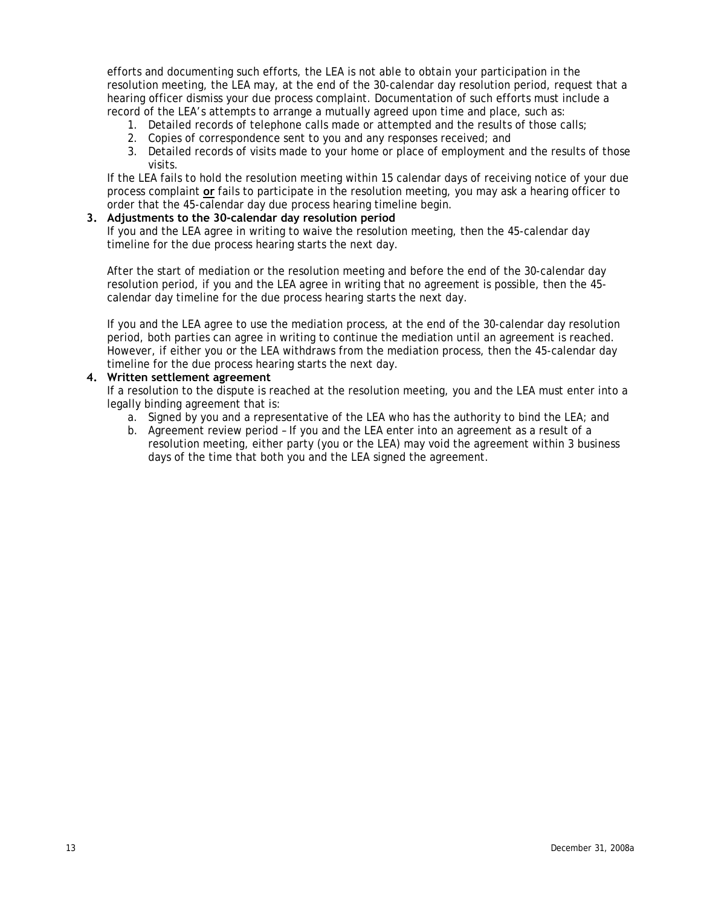efforts and documenting such efforts, the LEA is not able to obtain your participation in the resolution meeting, the LEA may, at the end of the 30-calendar day resolution period, request that a hearing officer dismiss your due process complaint. Documentation of such efforts must include a record of the LEA's attempts to arrange a mutually agreed upon time and place, such as:

- 1. Detailed records of telephone calls made or attempted and the results of those calls;
- 2. Copies of correspondence sent to you and any responses received; and
- 3. Detailed records of visits made to your home or place of employment and the results of those visits.

If the LEA fails to hold the resolution meeting within 15 calendar days of receiving notice of your due process complaint **or** fails to participate in the resolution meeting, you may ask a hearing officer to order that the 45-calendar day due process hearing timeline begin.

#### **3. Adjustments to the 30-calendar day resolution period**

If you and the LEA agree in writing to waive the resolution meeting, then the 45-calendar day timeline for the due process hearing starts the next day.

After the start of mediation or the resolution meeting and before the end of the 30-calendar day resolution period, if you and the LEA agree in writing that no agreement is possible, then the 45 calendar day timeline for the due process hearing starts the next day.

If you and the LEA agree to use the mediation process, at the end of the 30-calendar day resolution period, both parties can agree in writing to continue the mediation until an agreement is reached. However, if either you or the LEA withdraws from the mediation process, then the 45-calendar day timeline for the due process hearing starts the next day.

#### **4. Written settlement agreement**

If a resolution to the dispute is reached at the resolution meeting, you and the LEA must enter into a legally binding agreement that is:

- a. Signed by you and a representative of the LEA who has the authority to bind the LEA; and
- b. Agreement review period If you and the LEA enter into an agreement as a result of a resolution meeting, either party (you or the LEA) may void the agreement within 3 business days of the time that both you and the LEA signed the agreement.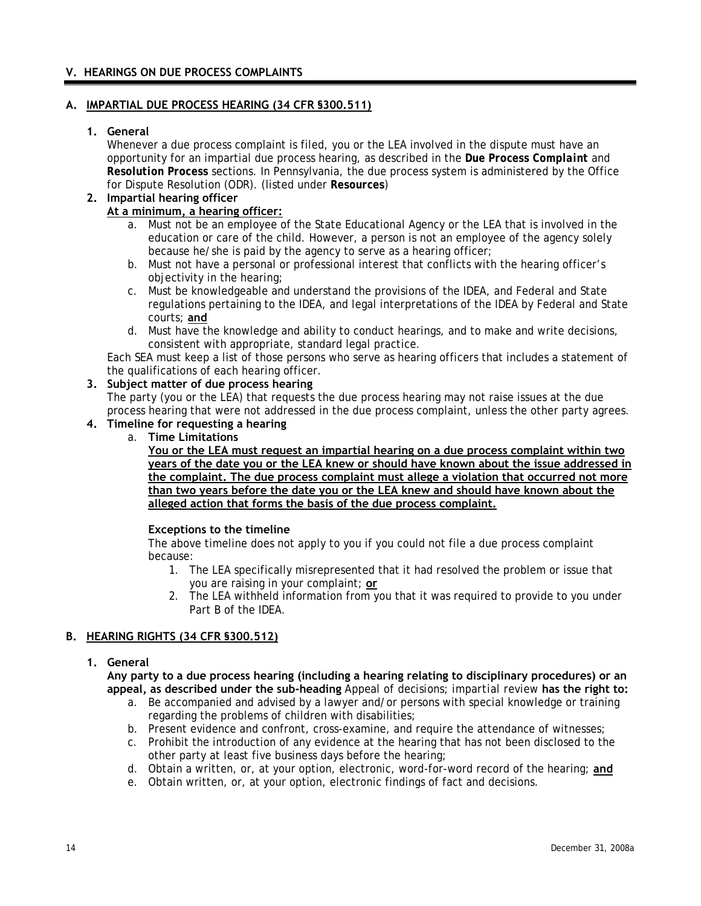## <span id="page-16-0"></span>**V. HEARINGS ON DUE PROCESS COMPLAINTS**

## **A. IMPARTIAL DUE PROCESS HEARING (34 CFR §300.511)**

## **1. General**

Whenever a due process complaint is filed, you or the LEA involved in the dispute must have an opportunity for an impartial due process hearing, as described in the *Due Process Complaint* and *Resolution Process* sections. In Pennsylvania, the due process system is administered by the Office for Dispute Resolution (ODR). (listed under *Resources*)

# **2. Impartial hearing officer**

# **At a minimum, a hearing officer:**

- a. Must not be an employee of the State Educational Agency or the LEA that is involved in the education or care of the child. However, a person is not an employee of the agency solely because he/she is paid by the agency to serve as a hearing officer;
- b. Must not have a personal or professional interest that conflicts with the hearing officer's objectivity in the hearing;
- c. Must be knowledgeable and understand the provisions of the IDEA, and Federal and State regulations pertaining to the IDEA, and legal interpretations of the IDEA by Federal and State courts; **and**
- d. Must have the knowledge and ability to conduct hearings, and to make and write decisions, consistent with appropriate, standard legal practice.

Each SEA must keep a list of those persons who serve as hearing officers that includes a statement of the qualifications of each hearing officer.

## **3. Subject matter of due process hearing**

The party (you or the LEA) that requests the due process hearing may not raise issues at the due process hearing that were not addressed in the due process complaint, unless the other party agrees.

## **4. Timeline for requesting a hearing**

a. **Time Limitations** 

**You or the LEA must request an impartial hearing on a due process complaint within two years of the date you or the LEA knew or should have known about the issue addressed in the complaint. The due process complaint must allege a violation that occurred not more than two years before the date you or the LEA knew and should have known about the alleged action that forms the basis of the due process complaint.**

# **Exceptions to the timeline**

The above timeline does not apply to you if you could not file a due process complaint because:

- 1. The LEA specifically misrepresented that it had resolved the problem or issue that you are raising in your complaint; **or**
- 2. The LEA withheld information from you that it was required to provide to you under Part B of the IDEA.

# **B. HEARING RIGHTS (34 CFR §300.512)**

## **1. General**

**Any party to a due process hearing (including a hearing relating to disciplinary procedures) or an appeal, as described under the sub-heading** *Appeal of decisions; impartial review* **has the right to:**

- a. Be accompanied and advised by a lawyer and/or persons with special knowledge or training regarding the problems of children with disabilities;
- b. Present evidence and confront, cross-examine, and require the attendance of witnesses;
- c. Prohibit the introduction of any evidence at the hearing that has not been disclosed to the other party at least five business days before the hearing;
- d. Obtain a written, or, at your option, electronic, word-for-word record of the hearing; **and**
- e. Obtain written, or, at your option, electronic findings of fact and decisions.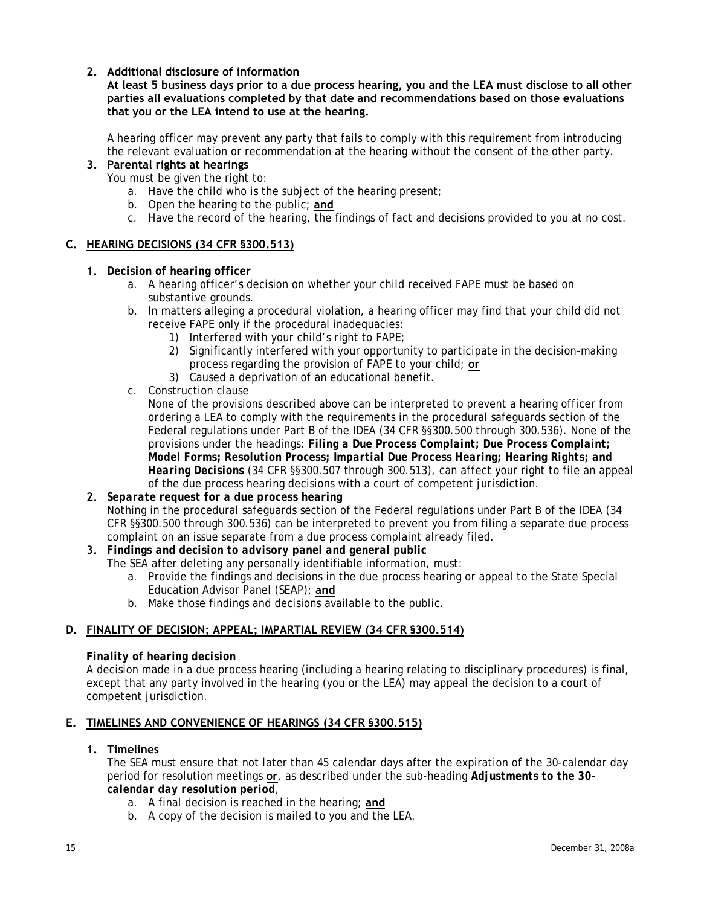<span id="page-17-0"></span>**2. Additional disclosure of information** 

**At least 5 business days prior to a due process hearing, you and the LEA must disclose to all other parties all evaluations completed by that date and recommendations based on those evaluations that you or the LEA intend to use at the hearing.** 

A hearing officer may prevent any party that fails to comply with this requirement from introducing the relevant evaluation or recommendation at the hearing without the consent of the other party.

# **3. Parental rights at hearings**

You must be given the right to:

- a. Have the child who is the subject of the hearing present;
- b. Open the hearing to the public; **and**
- c. Have the record of the hearing, the findings of fact and decisions provided to you at no cost.

### **C. HEARING DECISIONS (34 CFR §300.513)**

- **1.** *Decision of hearing officer* 
	- a. A hearing officer's decision on whether your child received FAPE must be based on substantive grounds.
	- b. In matters alleging a procedural violation, a hearing officer may find that your child did not receive FAPE only if the procedural inadequacies:
		- 1) Interfered with your child's right to FAPE;
		- 2) Significantly interfered with your opportunity to participate in the decision-making process regarding the provision of FAPE to your child; **or**
		- 3) Caused a deprivation of an educational benefit.
	- c. Construction clause

None of the provisions described above can be interpreted to prevent a hearing officer from ordering a LEA to comply with the requirements in the procedural safeguards section of the Federal regulations under Part B of the IDEA (34 CFR §§300.500 through 300.536). None of the provisions under the headings: *Filing a Due Process Complaint; Due Process Complaint; Model Forms; Resolution Process; Impartial Due Process Hearing; Hearing Rights; and Hearing Decisions* (34 CFR §§300.507 through 300.513), can affect your right to file an appeal of the due process hearing decisions with a court of competent jurisdiction.

# **2.** *Separate request for a due process hearing*

Nothing in the procedural safeguards section of the Federal regulations under Part B of the IDEA (34 CFR §§300.500 through 300.536) can be interpreted to prevent you from filing a separate due process complaint on an issue separate from a due process complaint already filed.

- **3.** *Findings and decision to advisory panel and general public* 
	- The SEA after deleting any personally identifiable information, must:
		- a. Provide the findings and decisions in the due process hearing or appeal to the State Special Education Advisor Panel (SEAP); **and**
		- b. Make those findings and decisions available to the public.

## **D. FINALITY OF DECISION; APPEAL; IMPARTIAL REVIEW (34 CFR §300.514)**

### *Finality of hearing decision*

A decision made in a due process hearing (including a hearing relating to disciplinary procedures) is final, except that any party involved in the hearing (you or the LEA) may appeal the decision to a court of competent jurisdiction.

### **E. TIMELINES AND CONVENIENCE OF HEARINGS (34 CFR §300.515)**

### **1. Timelines**

The SEA must ensure that not later than 45 calendar days after the expiration of the 30-calendar day period for resolution meetings **or**, as described under the sub-heading *Adjustments to the 30 calendar day resolution period*,

- a. A final decision is reached in the hearing; **and**
- b. A copy of the decision is mailed to you and the LEA.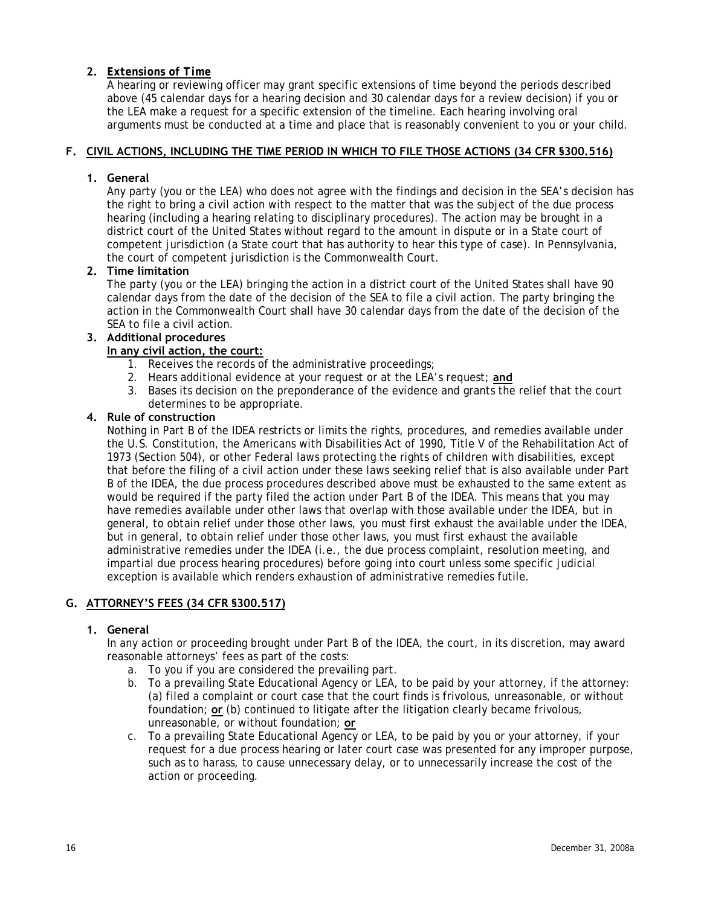# <span id="page-18-0"></span>**2.** *Extensions of Time*

A hearing or reviewing officer may grant specific extensions of time beyond the periods described above (45 calendar days for a hearing decision and 30 calendar days for a review decision) if you or the LEA make a request for a specific extension of the timeline. Each hearing involving oral arguments must be conducted at a time and place that is reasonably convenient to you or your child.

# **F. CIVIL ACTIONS, INCLUDING THE TIME PERIOD IN WHICH TO FILE THOSE ACTIONS (34 CFR §300.516)**

## **1. General**

Any party (you or the LEA) who does not agree with the findings and decision in the SEA's decision has the right to bring a civil action with respect to the matter that was the subject of the due process hearing (including a hearing relating to disciplinary procedures). The action may be brought in a district court of the United States without regard to the amount in dispute or in a State court of competent jurisdiction (a State court that has authority to hear this type of case). In Pennsylvania, the court of competent jurisdiction is the Commonwealth Court.

## **2. Time limitation**

The party (you or the LEA) bringing the action in a district court of the United States shall have 90 calendar days from the date of the decision of the SEA to file a civil action. The party bringing the action in the Commonwealth Court shall have 30 calendar days from the date of the decision of the SEA to file a civil action.

## **3. Additional procedures**

## **In any civil action, the court:**

- 1. Receives the records of the administrative proceedings;
- 2. Hears additional evidence at your request or at the LEA's request; **and**
- 3. Bases its decision on the preponderance of the evidence and grants the relief that the court determines to be appropriate.

### **4. Rule of construction**

Nothing in Part B of the IDEA restricts or limits the rights, procedures, and remedies available under the U.S. Constitution, the Americans with Disabilities Act of 1990, Title V of the Rehabilitation Act of 1973 (Section 504), or other Federal laws protecting the rights of children with disabilities, except that before the filing of a civil action under these laws seeking relief that is also available under Part B of the IDEA, the due process procedures described above must be exhausted to the same extent as would be required if the party filed the action under Part B of the IDEA. This means that you may have remedies available under other laws that overlap with those available under the IDEA, but in general, to obtain relief under those other laws, you must first exhaust the available under the IDEA, but in general, to obtain relief under those other laws, you must first exhaust the available administrative remedies under the IDEA (i.e., the due process complaint, resolution meeting, and impartial due process hearing procedures) before going into court unless some specific judicial exception is available which renders exhaustion of administrative remedies futile.

# **G. ATTORNEY'S FEES (34 CFR §300.517)**

### **1. General**

In any action or proceeding brought under Part B of the IDEA, the court, in its discretion, may award reasonable attorneys' fees as part of the costs:

- a. To you if you are considered the prevailing part.
- b. To a prevailing State Educational Agency or LEA, to be paid by your attorney, if the attorney: (a) filed a complaint or court case that the court finds is frivolous, unreasonable, or without foundation; **or** (b) continued to litigate after the litigation clearly became frivolous, unreasonable, or without foundation; **or**
- c. To a prevailing State Educational Agency or LEA, to be paid by you or your attorney, if your request for a due process hearing or later court case was presented for any improper purpose, such as to harass, to cause unnecessary delay, or to unnecessarily increase the cost of the action or proceeding.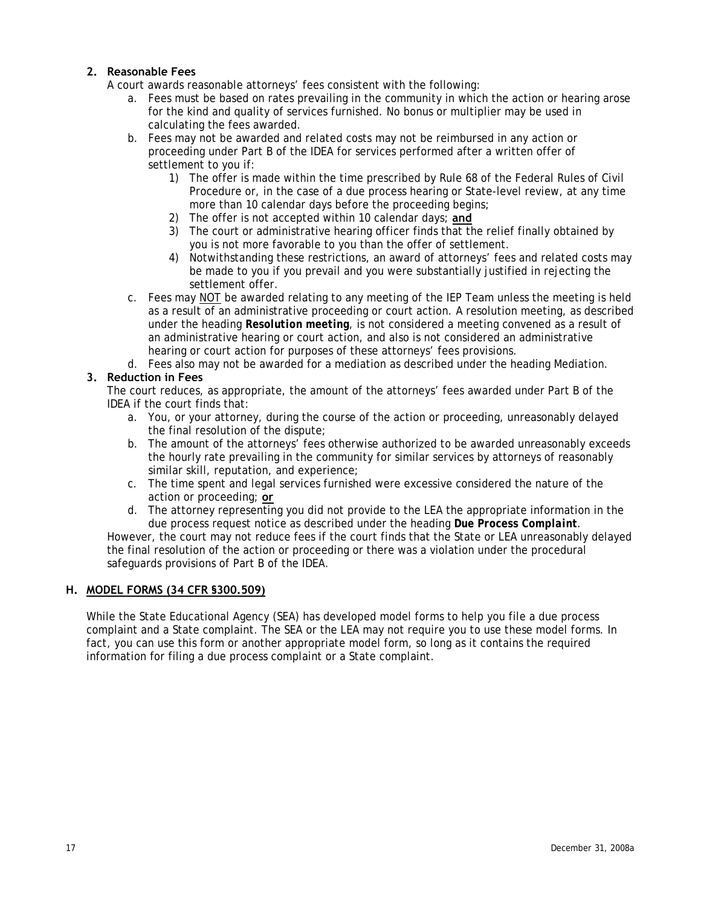## <span id="page-19-0"></span>**2. Reasonable Fees**

A court awards reasonable attorneys' fees consistent with the following:

- a. Fees must be based on rates prevailing in the community in which the action or hearing arose for the kind and quality of services furnished. No bonus or multiplier may be used in calculating the fees awarded.
- b. Fees may not be awarded and related costs may not be reimbursed in any action or proceeding under Part B of the IDEA for services performed after a written offer of settlement to you if:
	- 1) The offer is made within the time prescribed by Rule 68 of the Federal Rules of Civil Procedure or, in the case of a due process hearing or State-level review, at any time more than 10 calendar days before the proceeding begins;
	- 2) The offer is not accepted within 10 calendar days; **and**
	- 3) The court or administrative hearing officer finds that the relief finally obtained by you is not more favorable to you than the offer of settlement.
	- 4) Notwithstanding these restrictions, an award of attorneys' fees and related costs may be made to you if you prevail and you were substantially justified in rejecting the settlement offer.
- c. Fees may NOT be awarded relating to any meeting of the IEP Team unless the meeting is held as a result of an administrative proceeding or court action. A resolution meeting, as described under the heading *Resolution meeting*, is not considered a meeting convened as a result of an administrative hearing or court action, and also is not considered an administrative hearing or court action for purposes of these attorneys' fees provisions.
- d. Fees also may not be awarded for a mediation as described under the heading Mediation.

# **3. Reduction in Fees**

The court reduces, as appropriate, the amount of the attorneys' fees awarded under Part B of the IDEA if the court finds that:

- a. You, or your attorney, during the course of the action or proceeding, unreasonably delayed the final resolution of the dispute;
- b. The amount of the attorneys' fees otherwise authorized to be awarded unreasonably exceeds the hourly rate prevailing in the community for similar services by attorneys of reasonably similar skill, reputation, and experience;
- c. The time spent and legal services furnished were excessive considered the nature of the action or proceeding; **or**
- d. The attorney representing you did not provide to the LEA the appropriate information in the due process request notice as described under the heading *Due Process Complaint*.

However, the court may not reduce fees if the court finds that the State or LEA unreasonably delayed the final resolution of the action or proceeding or there was a violation under the procedural safeguards provisions of Part B of the IDEA.

## **H. MODEL FORMS (34 CFR §300.509)**

While the State Educational Agency (SEA) has developed model forms to help you file a due process complaint and a State complaint. The SEA or the LEA may not require you to use these model forms. In fact, you can use this form or another appropriate model form, so long as it contains the required information for filing a due process complaint or a State complaint.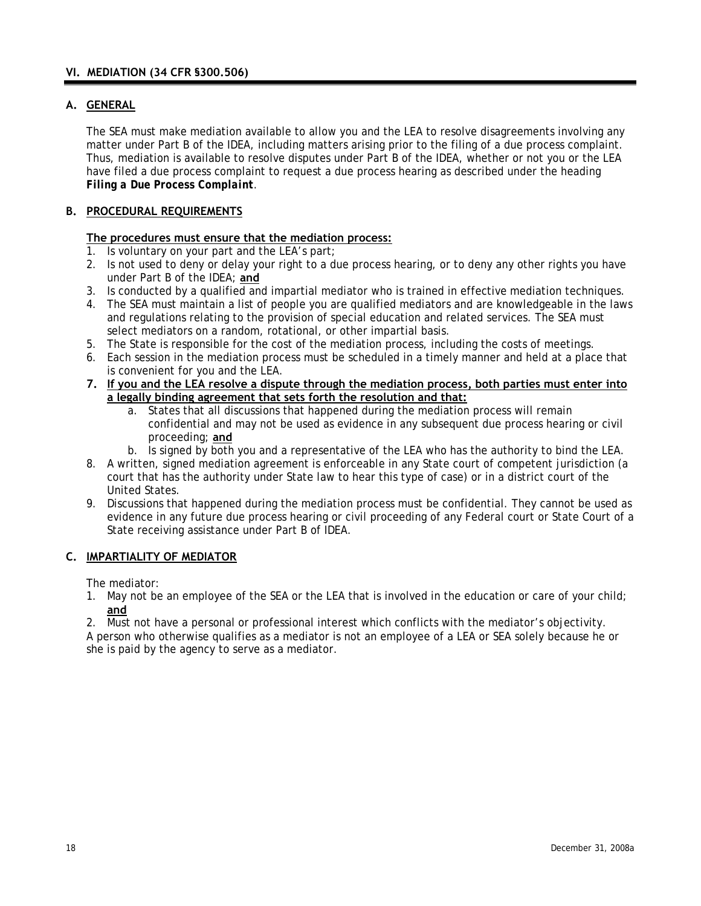# <span id="page-20-0"></span>**A. GENERAL**

The SEA must make mediation available to allow you and the LEA to resolve disagreements involving any matter under Part B of the IDEA, including matters arising prior to the filing of a due process complaint. Thus, mediation is available to resolve disputes under Part B of the IDEA, whether or not you or the LEA have filed a due process complaint to request a due process hearing as described under the heading *Filing a Due Process Complaint*.

# **B. PROCEDURAL REQUIREMENTS**

### **The procedures must ensure that the mediation process:**

- 1. Is voluntary on your part and the LEA's part;
- 2. Is not used to deny or delay your right to a due process hearing, or to deny any other rights you have under Part B of the IDEA; **and**
- 3. Is conducted by a qualified and impartial mediator who is trained in effective mediation techniques.
- 4. The SEA must maintain a list of people you are qualified mediators and are knowledgeable in the laws and regulations relating to the provision of special education and related services. The SEA must select mediators on a random, rotational, or other impartial basis.
- 5. The State is responsible for the cost of the mediation process, including the costs of meetings.
- 6. Each session in the mediation process must be scheduled in a timely manner and held at a place that is convenient for you and the LEA.
- **7. If you and the LEA resolve a dispute through the mediation process, both parties must enter into a legally binding agreement that sets forth the resolution and that:**
	- a. States that all discussions that happened during the mediation process will remain confidential and may not be used as evidence in any subsequent due process hearing or civil proceeding; **and**
	- b. Is signed by both you and a representative of the LEA who has the authority to bind the LEA.
- 8. A written, signed mediation agreement is enforceable in any State court of competent jurisdiction (a court that has the authority under State law to hear this type of case) or in a district court of the United States.
- 9. Discussions that happened during the mediation process must be confidential. They cannot be used as evidence in any future due process hearing or civil proceeding of any Federal court or State Court of a State receiving assistance under Part B of IDEA.

# **C. IMPARTIALITY OF MEDIATOR**

The mediator:

1. May not be an employee of the SEA or the LEA that is involved in the education or care of your child; **and**

2. Must not have a personal or professional interest which conflicts with the mediator's objectivity.

A person who otherwise qualifies as a mediator is not an employee of a LEA or SEA solely because he or she is paid by the agency to serve as a mediator.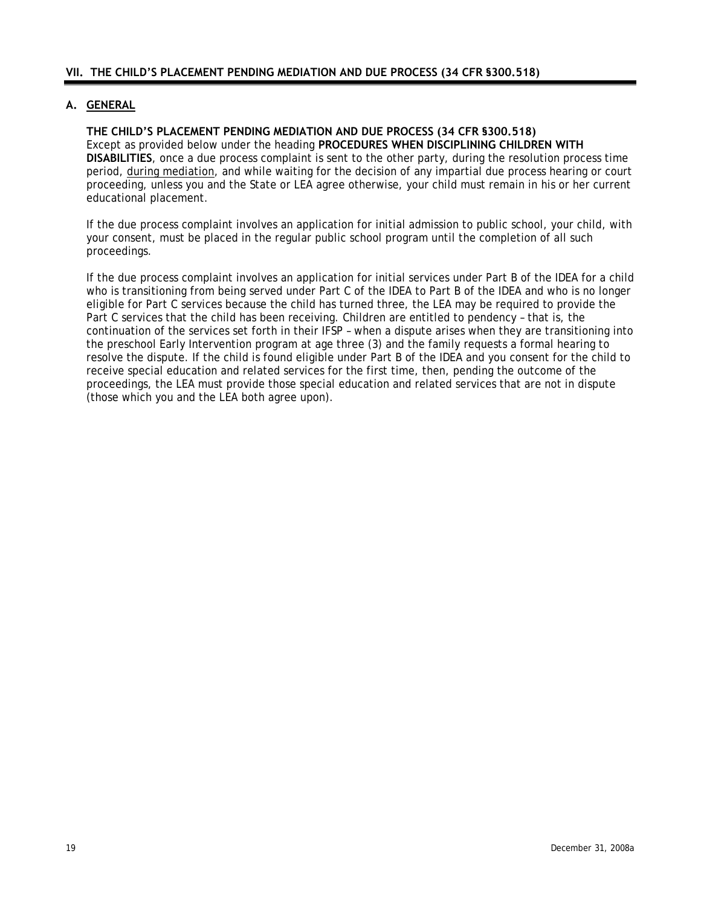## <span id="page-21-0"></span>**A. GENERAL**

# **THE CHILD'S PLACEMENT PENDING MEDIATION AND DUE PROCESS (34 CFR §300.518)**

Except as provided below under the heading **PROCEDURES WHEN DISCIPLINING CHILDREN WITH DISABILITIES**, once a due process complaint is sent to the other party, during the resolution process time period, during mediation, and while waiting for the decision of any impartial due process hearing or court proceeding, unless you and the State or LEA agree otherwise, your child must remain in his or her current educational placement.

If the due process complaint involves an application for initial admission to public school, your child, with your consent, must be placed in the regular public school program until the completion of all such proceedings.

If the due process complaint involves an application for initial services under Part B of the IDEA for a child who is transitioning from being served under Part C of the IDEA to Part B of the IDEA and who is no longer eligible for Part C services because the child has turned three, the LEA may be required to provide the Part C services that the child has been receiving. Children are entitled to pendency – that is, the continuation of the services set forth in their IFSP – when a dispute arises when they are transitioning into the preschool Early Intervention program at age three (3) and the family requests a formal hearing to resolve the dispute. If the child is found eligible under Part B of the IDEA and you consent for the child to receive special education and related services for the first time, then, pending the outcome of the proceedings, the LEA must provide those special education and related services that are not in dispute (those which you and the LEA both agree upon).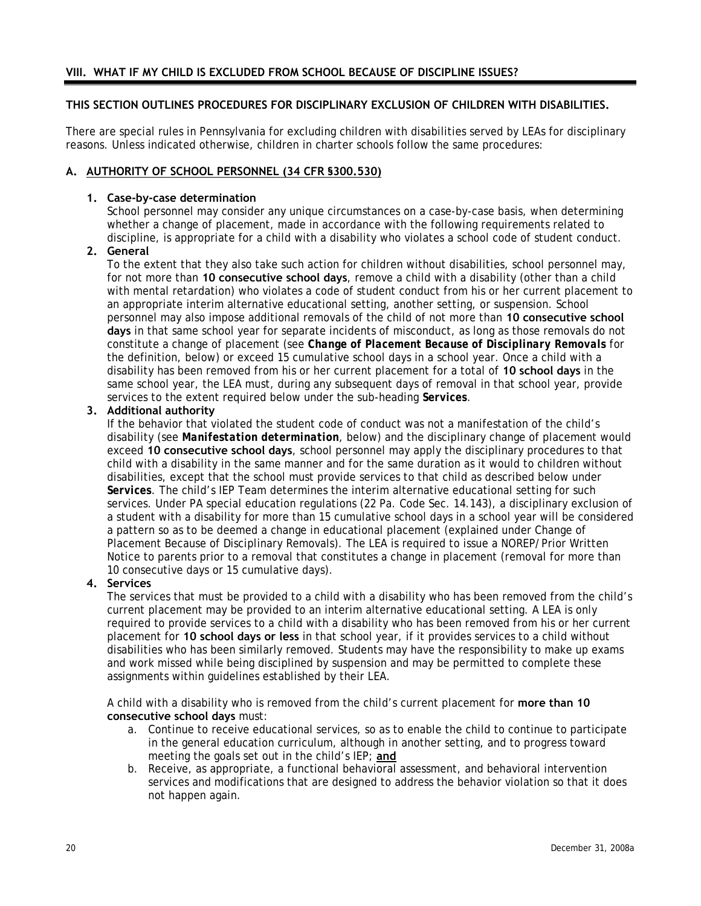# <span id="page-22-0"></span>**THIS SECTION OUTLINES PROCEDURES FOR DISCIPLINARY EXCLUSION OF CHILDREN WITH DISABILITIES.**

There are special rules in Pennsylvania for excluding children with disabilities served by LEAs for disciplinary reasons. Unless indicated otherwise, children in charter schools follow the same procedures:

## **A. AUTHORITY OF SCHOOL PERSONNEL (34 CFR §300.530)**

### **1. Case-by-case determination**

School personnel may consider any unique circumstances on a case-by-case basis, when determining whether a change of placement, made in accordance with the following requirements related to discipline, is appropriate for a child with a disability who violates a school code of student conduct.

## **2. General**

To the extent that they also take such action for children without disabilities, school personnel may, for not more than **10 consecutive school days**, remove a child with a disability (other than a child with mental retardation) who violates a code of student conduct from his or her current placement to an appropriate interim alternative educational setting, another setting, or suspension. School personnel may also impose additional removals of the child of not more than **10 consecutive school days** in that same school year for separate incidents of misconduct, as long as those removals do not constitute a change of placement (see *Change of Placement Because of Disciplinary Removals* for the definition, below) or exceed 15 cumulative school days in a school year. Once a child with a disability has been removed from his or her current placement for a total of **10 school days** in the same school year, the LEA must, during any subsequent days of removal in that school year, provide services to the extent required below under the sub-heading *Services*.

## **3. Additional authority**

If the behavior that violated the student code of conduct was not a manifestation of the child's disability (see *Manifestation determination*, below) and the disciplinary change of placement would exceed **10 consecutive school days**, school personnel may apply the disciplinary procedures to that child with a disability in the same manner and for the same duration as it would to children without disabilities, except that the school must provide services to that child as described below under *Services*. The child's IEP Team determines the interim alternative educational setting for such services. Under PA special education regulations (22 Pa. Code Sec. 14.143), a disciplinary exclusion of a student with a disability for more than 15 cumulative school days in a school year will be considered a pattern so as to be deemed a change in educational placement (explained under Change of Placement Because of Disciplinary Removals). The LEA is required to issue a NOREP/Prior Written Notice to parents prior to a removal that constitutes a change in placement (removal for more than 10 consecutive days or 15 cumulative days).

### **4. Services**

The services that must be provided to a child with a disability who has been removed from the child's current placement may be provided to an interim alternative educational setting. A LEA is only required to provide services to a child with a disability who has been removed from his or her current placement for **10 school days or less** in that school year, if it provides services to a child without disabilities who has been similarly removed. Students may have the responsibility to make up exams and work missed while being disciplined by suspension and may be permitted to complete these assignments within guidelines established by their LEA.

A child with a disability who is removed from the child's current placement for **more than 10 consecutive school days** must:

- a. Continue to receive educational services, so as to enable the child to continue to participate in the general education curriculum, although in another setting, and to progress toward meeting the goals set out in the child's IEP; **and**
- b. Receive, as appropriate, a functional behavioral assessment, and behavioral intervention services and modifications that are designed to address the behavior violation so that it does not happen again.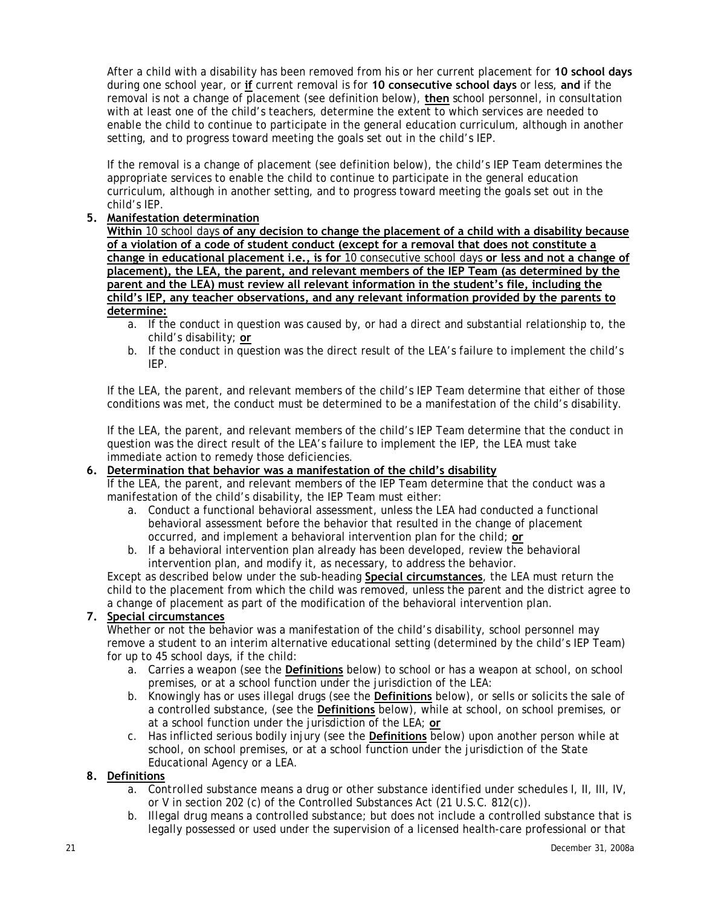After a child with a disability has been removed from his or her current placement for **10 school days** during one school year, or **if** current removal is for **10 consecutive school days** or less, **and** if the removal is not a change of placement (see definition below), **then** school personnel, in consultation with at least one of the child's teachers, determine the extent to which services are needed to enable the child to continue to participate in the general education curriculum, although in another setting, and to progress toward meeting the goals set out in the child's IEP.

If the removal is a change of placement (see definition below), the child's IEP Team determines the appropriate services to enable the child to continue to participate in the general education curriculum, although in another setting, and to progress toward meeting the goals set out in the child's IEP.

## **5. Manifestation determination**

**Within** 10 school days **of any decision to change the placement of a child with a disability because of a violation of a code of student conduct (except for a removal that does not constitute a change in educational placement i.e., is for** 10 consecutive school days **or less and not a change of placement), the LEA, the parent, and relevant members of the IEP Team (as determined by the parent and the LEA) must review all relevant information in the student's file, including the child's IEP, any teacher observations, and any relevant information provided by the parents to determine:**

- a. If the conduct in question was caused by, or had a direct and substantial relationship to, the child's disability; **or**
- b. If the conduct in question was the direct result of the LEA's failure to implement the child's IEP.

If the LEA, the parent, and relevant members of the child's IEP Team determine that either of those conditions was met, the conduct must be determined to be a manifestation of the child's disability.

If the LEA, the parent, and relevant members of the child's IEP Team determine that the conduct in question was the direct result of the LEA's failure to implement the IEP, the LEA must take immediate action to remedy those deficiencies.

# **6. Determination that behavior was a manifestation of the child's disability**

If the LEA, the parent, and relevant members of the IEP Team determine that the conduct was a manifestation of the child's disability, the IEP Team must either:

- a. Conduct a functional behavioral assessment, unless the LEA had conducted a functional behavioral assessment before the behavior that resulted in the change of placement occurred, and implement a behavioral intervention plan for the child; **or**
- b. If a behavioral intervention plan already has been developed, review the behavioral intervention plan, and modify it, as necessary, to address the behavior.

Except as described below under the sub-heading **Special circumstances**, the LEA must return the child to the placement from which the child was removed, unless the parent and the district agree to a change of placement as part of the modification of the behavioral intervention plan.

# **7. Special circumstances**

Whether or not the behavior was a manifestation of the child's disability, school personnel may remove a student to an interim alternative educational setting (determined by the child's IEP Team) for up to 45 school days, if the child:

- a. Carries a weapon (see the **Definitions** below) to school or has a weapon at school, on school premises, or at a school function under the jurisdiction of the LEA:
- b. Knowingly has or uses illegal drugs (see the **Definitions** below), or sells or solicits the sale of a controlled substance, (see the **Definitions** below), while at school, on school premises, or at a school function under the jurisdiction of the LEA; **or**
- c. Has inflicted serious bodily injury (see the **Definitions** below) upon another person while at school, on school premises, or at a school function under the jurisdiction of the State Educational Agency or a LEA.

# **8. Definitions**

- a. *Controlled substance* means a drug or other substance identified under schedules I, II, III, IV, or V in section 202 (c) of the Controlled Substances Act (21 U.S.C. 812(c)).
- b. *Illegal drug* means a controlled substance; but does not include a controlled substance that is legally possessed or used under the supervision of a licensed health-care professional or that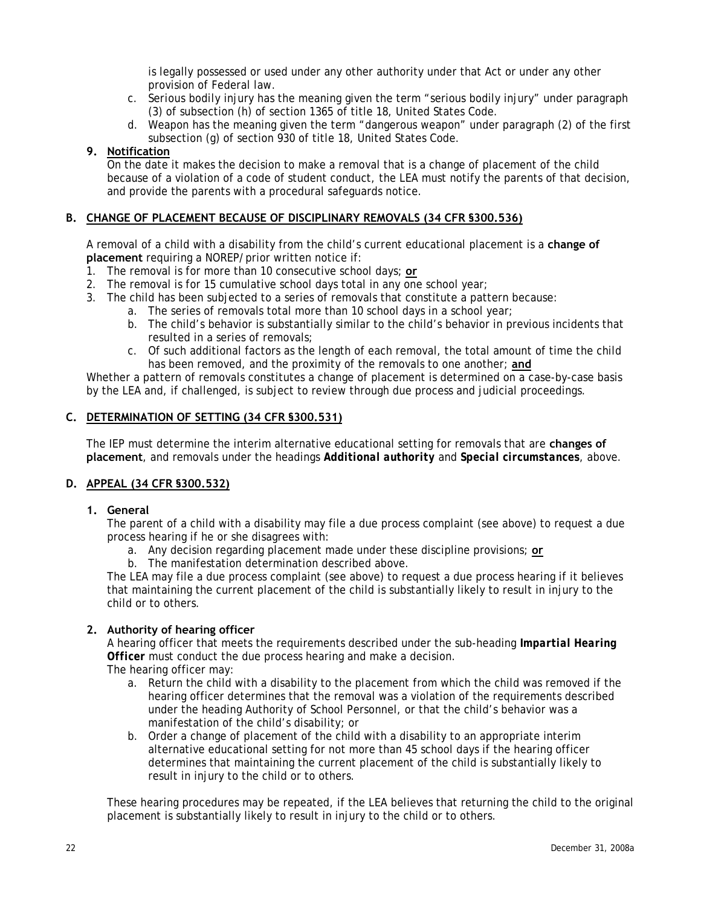is legally possessed or used under any other authority under that Act or under any other provision of Federal law.

- <span id="page-24-0"></span>c. *Serious bodily* injury has the meaning given the term "serious bodily injury" under paragraph (3) of subsection (h) of section 1365 of title 18, United States Code.
- d. *Weapon* has the meaning given the term "dangerous weapon" under paragraph (2) of the first subsection (g) of section 930 of title 18, United States Code.

## **9. Notification**

On the date it makes the decision to make a removal that is a change of placement of the child because of a violation of a code of student conduct, the LEA must notify the parents of that decision, and provide the parents with a procedural safeguards notice.

## **B. CHANGE OF PLACEMENT BECAUSE OF DISCIPLINARY REMOVALS (34 CFR §300.536)**

A removal of a child with a disability from the child's current educational placement is a **change of placement** requiring a NOREP/prior written notice if:

- 1. The removal is for more than 10 consecutive school days; **or**
- 2. The removal is for 15 cumulative school days total in any one school year;
- 3. The child has been subjected to a series of removals that constitute a pattern because:
	- a. The series of removals total more than 10 school days in a school year;
	- b. The child's behavior is substantially similar to the child's behavior in previous incidents that resulted in a series of removals;
	- c. Of such additional factors as the length of each removal, the total amount of time the child has been removed, and the proximity of the removals to one another; **and**

Whether a pattern of removals constitutes a change of placement is determined on a case-by-case basis by the LEA and, if challenged, is subject to review through due process and judicial proceedings.

### **C. DETERMINATION OF SETTING (34 CFR §300.531)**

The IEP must determine the interim alternative educational setting for removals that are **changes of placement**, and removals under the headings *Additional authority* and *Special circumstances*, above.

## **D. APPEAL (34 CFR §300.532)**

### **1. General**

The parent of a child with a disability may file a due process complaint (see above) to request a due process hearing if he or she disagrees with:

- a. Any decision regarding placement made under these discipline provisions; **or**
- b. The manifestation determination described above.

The LEA may file a due process complaint (see above) to request a due process hearing if it believes that maintaining the current placement of the child is substantially likely to result in injury to the child or to others.

### **2. Authority of hearing officer**

A hearing officer that meets the requirements described under the sub-heading *Impartial Hearing Officer* must conduct the due process hearing and make a decision. The hearing officer may:

- a. Return the child with a disability to the placement from which the child was removed if the hearing officer determines that the removal was a violation of the requirements described under the heading Authority of School Personnel, or that the child's behavior was a manifestation of the child's disability; or
- b. Order a change of placement of the child with a disability to an appropriate interim alternative educational setting for not more than 45 school days if the hearing officer determines that maintaining the current placement of the child is substantially likely to result in injury to the child or to others.

These hearing procedures may be repeated, if the LEA believes that returning the child to the original placement is substantially likely to result in injury to the child or to others.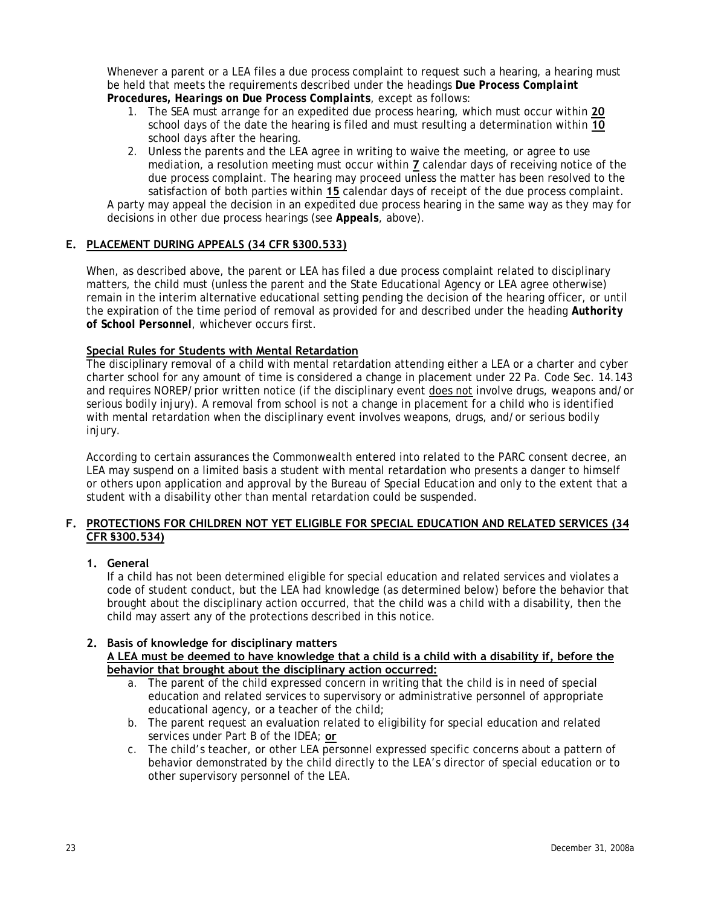<span id="page-25-0"></span>Whenever a parent or a LEA files a due process complaint to request such a hearing, a hearing must be held that meets the requirements described under the headings *Due Process Complaint Procedures, Hearings on Due Process Complaints*, except as follows:

- 1. The SEA must arrange for an expedited due process hearing, which must occur within **20** school days of the date the hearing is filed and must resulting a determination within **10** school days after the hearing.
- 2. Unless the parents and the LEA agree in writing to waive the meeting, or agree to use mediation, a resolution meeting must occur within **7** calendar days of receiving notice of the due process complaint. The hearing may proceed unless the matter has been resolved to the satisfaction of both parties within **15** calendar days of receipt of the due process complaint.

A party may appeal the decision in an expedited due process hearing in the same way as they may for decisions in other due process hearings (see *Appeals*, above).

# **E. PLACEMENT DURING APPEALS (34 CFR §300.533)**

When, as described above, the parent or LEA has filed a due process complaint related to disciplinary matters, the child must (unless the parent and the State Educational Agency or LEA agree otherwise) remain in the interim alternative educational setting pending the decision of the hearing officer, or until the expiration of the time period of removal as provided for and described under the heading *Authority of School Personnel*, whichever occurs first.

### **Special Rules for Students with Mental Retardation**

The disciplinary removal of a child with mental retardation attending either a LEA or a charter and cyber charter school for any amount of time is considered a change in placement under 22 Pa. Code Sec. 14.143 and requires NOREP/prior written notice (if the disciplinary event does not involve drugs, weapons and/or serious bodily injury). A removal from school is not a change in placement for a child who is identified with mental retardation when the disciplinary event involves weapons, drugs, and/or serious bodily injury.

According to certain assurances the Commonwealth entered into related to the PARC consent decree, an LEA may suspend on a limited basis a student with mental retardation who presents a danger to himself or others upon application and approval by the Bureau of Special Education and only to the extent that a student with a disability other than mental retardation could be suspended.

## **F. PROTECTIONS FOR CHILDREN NOT YET ELIGIBLE FOR SPECIAL EDUCATION AND RELATED SERVICES (34 CFR §300.534)**

# **1. General**

If a child has not been determined eligible for special education and related services and violates a code of student conduct, but the LEA had knowledge (as determined below) before the behavior that brought about the disciplinary action occurred, that the child was a child with a disability, then the child may assert any of the protections described in this notice.

# **2. Basis of knowledge for disciplinary matters**

## **A LEA must be deemed to have knowledge that a child is a child with a disability if, before the behavior that brought about the disciplinary action occurred:**

- a. The parent of the child expressed concern in writing that the child is in need of special education and related services to supervisory or administrative personnel of appropriate educational agency, or a teacher of the child;
- b. The parent request an evaluation related to eligibility for special education and related services under Part B of the IDEA; **or**
- c. The child's teacher, or other LEA personnel expressed specific concerns about a pattern of behavior demonstrated by the child directly to the LEA's director of special education or to other supervisory personnel of the LEA.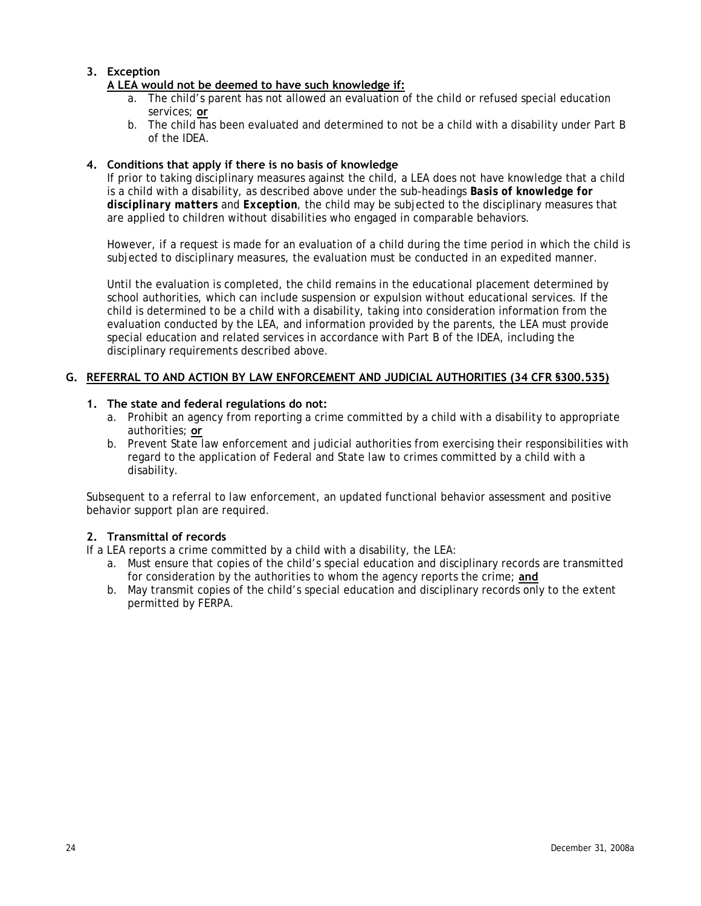# <span id="page-26-0"></span>**3. Exception**

# **A LEA would not be deemed to have such knowledge if:**

- a. The child's parent has not allowed an evaluation of the child or refused special education services; **or**
- b. The child has been evaluated and determined to not be a child with a disability under Part B of the IDEA.

## **4. Conditions that apply if there is no basis of knowledge**

If prior to taking disciplinary measures against the child, a LEA does not have knowledge that a child is a child with a disability, as described above under the sub-headings *Basis of knowledge for disciplinary matters* and *Exception*, the child may be subjected to the disciplinary measures that are applied to children without disabilities who engaged in comparable behaviors.

However, if a request is made for an evaluation of a child during the time period in which the child is subjected to disciplinary measures, the evaluation must be conducted in an expedited manner.

Until the evaluation is completed, the child remains in the educational placement determined by school authorities, which can include suspension or expulsion without educational services. If the child is determined to be a child with a disability, taking into consideration information from the evaluation conducted by the LEA, and information provided by the parents, the LEA must provide special education and related services in accordance with Part B of the IDEA, including the disciplinary requirements described above.

## **G. REFERRAL TO AND ACTION BY LAW ENFORCEMENT AND JUDICIAL AUTHORITIES (34 CFR §300.535)**

### **1. The state and federal regulations do not:**

- a. Prohibit an agency from reporting a crime committed by a child with a disability to appropriate authorities; **or**
- b. Prevent State law enforcement and judicial authorities from exercising their responsibilities with regard to the application of Federal and State law to crimes committed by a child with a disability.

Subsequent to a referral to law enforcement, an updated functional behavior assessment and positive behavior support plan are required.

### **2. Transmittal of records**

If a LEA reports a crime committed by a child with a disability, the LEA:

- a. Must ensure that copies of the child's special education and disciplinary records are transmitted for consideration by the authorities to whom the agency reports the crime; **and**
- b. May transmit copies of the child's special education and disciplinary records only to the extent permitted by FERPA.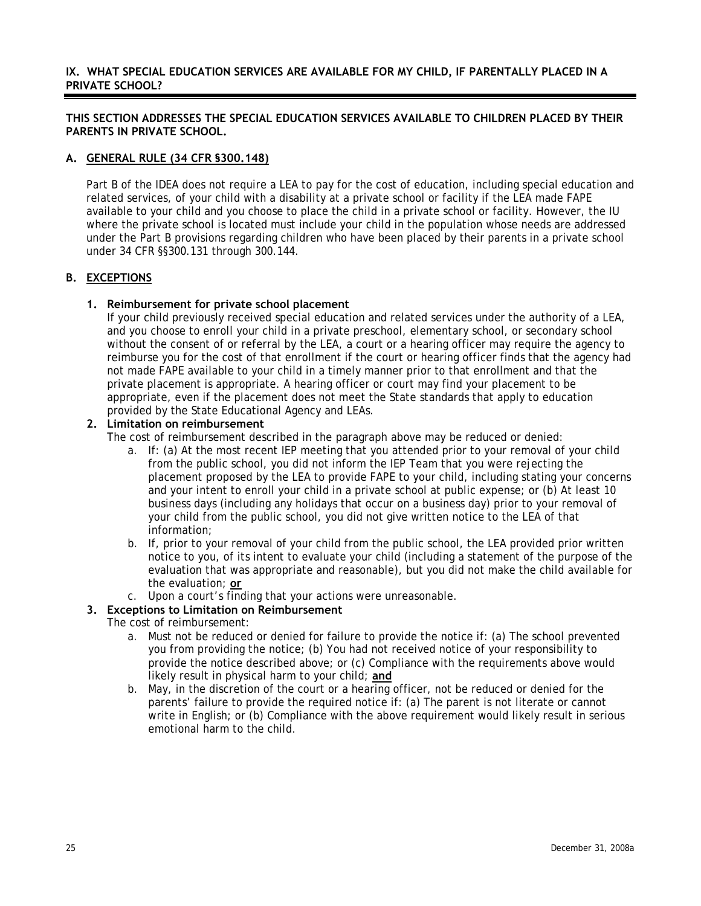### <span id="page-27-0"></span>**IX. WHAT SPECIAL EDUCATION SERVICES ARE AVAILABLE FOR MY CHILD, IF PARENTALLY PLACED IN A PRIVATE SCHOOL?**

## **THIS SECTION ADDRESSES THE SPECIAL EDUCATION SERVICES AVAILABLE TO CHILDREN PLACED BY THEIR PARENTS IN PRIVATE SCHOOL.**

## **A. GENERAL RULE (34 CFR §300.148)**

Part B of the IDEA does not require a LEA to pay for the cost of education, including special education and related services, of your child with a disability at a private school or facility if the LEA made FAPE available to your child and you choose to place the child in a private school or facility. However, the IU where the private school is located must include your child in the population whose needs are addressed under the Part B provisions regarding children who have been placed by their parents in a private school under 34 CFR §§300.131 through 300.144.

## **B. EXCEPTIONS**

## **1. Reimbursement for private school placement**

If your child previously received special education and related services under the authority of a LEA, and you choose to enroll your child in a private preschool, elementary school, or secondary school without the consent of or referral by the LEA, a court or a hearing officer may require the agency to reimburse you for the cost of that enrollment if the court or hearing officer finds that the agency had not made FAPE available to your child in a timely manner prior to that enrollment and that the private placement is appropriate. A hearing officer or court may find your placement to be appropriate, even if the placement does not meet the State standards that apply to education provided by the State Educational Agency and LEAs.

### **2. Limitation on reimbursement**

The cost of reimbursement described in the paragraph above may be reduced or denied:

- a. If: (a) At the most recent IEP meeting that you attended prior to your removal of your child from the public school, you did not inform the IEP Team that you were rejecting the placement proposed by the LEA to provide FAPE to your child, including stating your concerns and your intent to enroll your child in a private school at public expense; or (b) At least 10 business days (including any holidays that occur on a business day) prior to your removal of your child from the public school, you did not give written notice to the LEA of that information;
- b. If, prior to your removal of your child from the public school, the LEA provided prior written notice to you, of its intent to evaluate your child (including a statement of the purpose of the evaluation that was appropriate and reasonable), but you did not make the child available for the evaluation; **or**
- c. Upon a court's finding that your actions were unreasonable.

# **3. Exceptions to Limitation on Reimbursement**

The cost of reimbursement:

- a. Must not be reduced or denied for failure to provide the notice if: (a) The school prevented you from providing the notice; (b) You had not received notice of your responsibility to provide the notice described above; or (c) Compliance with the requirements above would likely result in physical harm to your child; **and**
- b. May, in the discretion of the court or a hearing officer, not be reduced or denied for the parents' failure to provide the required notice if: (a) The parent is not literate or cannot write in English; or (b) Compliance with the above requirement would likely result in serious emotional harm to the child.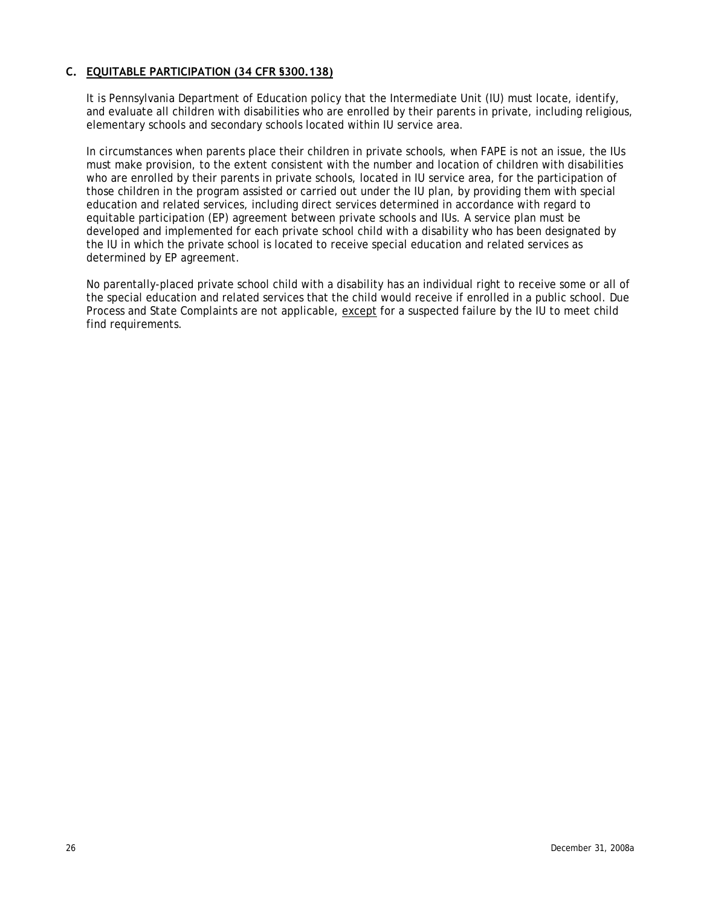# <span id="page-28-0"></span>**C. EQUITABLE PARTICIPATION (34 CFR §300.138)**

It is Pennsylvania Department of Education policy that the Intermediate Unit (IU) must locate, identify, and evaluate all children with disabilities who are enrolled by their parents in private, including religious, elementary schools and secondary schools located within IU service area.

In circumstances when parents place their children in private schools, when FAPE is not an issue, the IUs must make provision, to the extent consistent with the number and location of children with disabilities who are enrolled by their parents in private schools, located in IU service area, for the participation of those children in the program assisted or carried out under the IU plan, by providing them with special education and related services, including direct services determined in accordance with regard to equitable participation (EP) agreement between private schools and IUs. A service plan must be developed and implemented for each private school child with a disability who has been designated by the IU in which the private school is located to receive special education and related services as determined by EP agreement.

No parentally-placed private school child with a disability has an individual right to receive some or all of the special education and related services that the child would receive if enrolled in a public school. Due Process and State Complaints are not applicable, except for a suspected failure by the IU to meet child find requirements.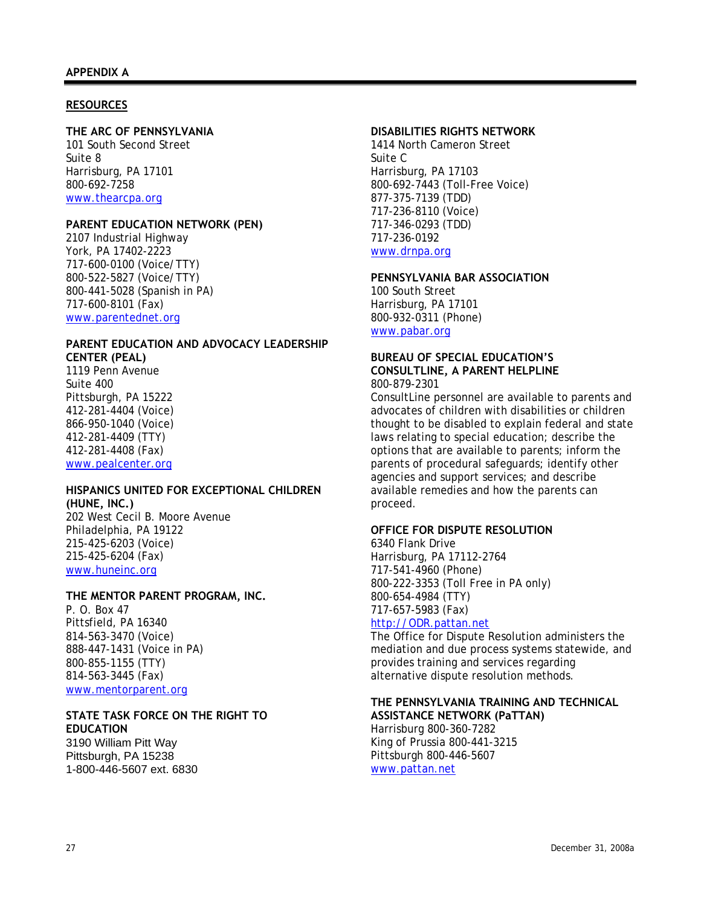#### <span id="page-29-0"></span>**RESOURCES**

# **THE ARC OF PENNSYLVANIA**

101 South Second Street Suite 8 Harrisburg, PA 17101 800-692-7258 [www.thearcpa.org](http://www.thearcpa.org/)

## **PARENT EDUCATION NETWORK (PEN)**

2107 Industrial Highway York, PA 17402-2223 717-600-0100 (Voice/TTY) 800-522-5827 (Voice/TTY) 800-441-5028 (Spanish in PA) 717-600-8101 (Fax) [www.parentednet.org](http://www.parentednet.org/)

## **PARENT EDUCATION AND ADVOCACY LEADERSHIP CENTER (PEAL)**

1119 Penn Avenue Suite 400 Pittsburgh, PA 15222 412-281-4404 (Voice) 866-950-1040 (Voice) 412-281-4409 (TTY) 412-281-4408 (Fax) [www.pealcenter.org](http://www.pealcenter.org/)

# **HISPANICS UNITED FOR EXCEPTIONAL CHILDREN (HUNE, INC.)**

202 West Cecil B. Moore Avenue Philadelphia, PA 19122 215-425-6203 (Voice) 215-425-6204 (Fax) [www.huneinc.org](http://www.huneinc.org/)

### **THE MENTOR PARENT PROGRAM, INC.**

P. O. Box 47 Pittsfield, PA 16340 814-563-3470 (Voice) 888-447-1431 (Voice in PA) 800-855-1155 (TTY) 814-563-3445 (Fax) [www.mentorparent.org](http://www.mentorparent.org/)

#### **STATE TASK FORCE ON THE RIGHT TO EDUCATION**

3190 William Pitt Way Pittsburgh, PA 15238 1-800-446-5607 ext. 6830

#### **DISABILITIES RIGHTS NETWORK**

1414 North Cameron Street Suite C Harrisburg, PA 17103 800-692-7443 (Toll-Free Voice) 877-375-7139 (TDD) 717-236-8110 (Voice) 717-346-0293 (TDD) 717-236-0192 [www.drnpa.org](http://www.drnpa.org/)

# **PENNSYLVANIA BAR ASSOCIATION**

100 South Street Harrisburg, PA 17101 800-932-0311 (Phone) [www.pabar.org](http://www.pabar.org/)

#### **BUREAU OF SPECIAL EDUCATION'S CONSULTLINE, A PARENT HELPLINE**  800-879-2301

ConsultLine personnel are available to parents and advocates of children with disabilities or children thought to be disabled to explain federal and state laws relating to special education; describe the options that are available to parents; inform the parents of procedural safeguards; identify other agencies and support services; and describe available remedies and how the parents can proceed.

#### **OFFICE FOR DISPUTE RESOLUTION**

6340 Flank Drive Harrisburg, PA 17112-2764 717-541-4960 (Phone) 800-222-3353 (Toll Free in PA only) 800-654-4984 (TTY) 717-657-5983 (Fax)

# [http://ODR.pattan.net](http://odr.pattan.net/)

The Office for Dispute Resolution administers the mediation and due process systems statewide, and provides training and services regarding alternative dispute resolution methods.

# **THE PENNSYLVANIA TRAINING AND TECHNICAL**

**ASSISTANCE NETWORK (PaTTAN)**  Harrisburg 800-360-7282 King of Prussia 800-441-3215 Pittsburgh 800-446-5607 [www.pattan.net](http://www.pattan.net/)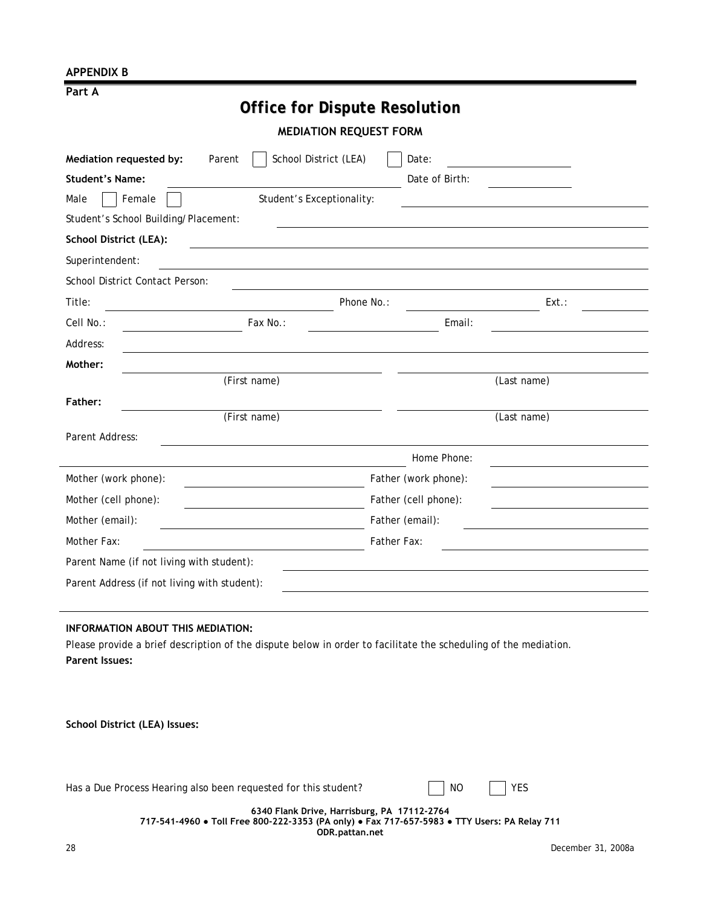## <span id="page-30-0"></span>**APPENDIX B**

|--|

# *Office for Dispute Resolution*

**MEDIATION REQUEST FORM** 

| School District (LEA)<br>Mediation requested by:<br>Parent | Date:                  |
|------------------------------------------------------------|------------------------|
| <b>Student's Name:</b>                                     | Date of Birth:         |
| Student's Exceptionality:<br>Female<br>Male                |                        |
| Student's School Building/Placement:                       |                        |
| <b>School District (LEA):</b>                              |                        |
| Superintendent:                                            |                        |
| School District Contact Person:                            |                        |
| Title:                                                     | Phone No.:<br>$Ext.$ : |
| Cell No.:<br>Fax No.:                                      | Email:                 |
| Address:                                                   |                        |
| Mother:                                                    |                        |
| (First name)                                               | (Last name)            |
| Father:                                                    |                        |
| (First name)                                               | (Last name)            |
| Parent Address:                                            |                        |
|                                                            | Home Phone:            |
| Mother (work phone):                                       | Father (work phone):   |
| Mother (cell phone):                                       | Father (cell phone):   |
| Mother (email):                                            | Father (email):        |
| Mother Fax:                                                | Father Fax:            |
| Parent Name (if not living with student):                  |                        |
| Parent Address (if not living with student):               |                        |

#### **INFORMATION ABOUT THIS MEDIATION:**

Please provide a brief description of the dispute below in order to facilitate the scheduling of the mediation. **Parent Issues:**

**School District (LEA) Issues:**

|  | Has a Due Process Hearing also been requested for this student? |  | NC. | I YES |
|--|-----------------------------------------------------------------|--|-----|-------|
|--|-----------------------------------------------------------------|--|-----|-------|

**6340 Flank Drive, Harrisburg, PA 17112-2764 717-541-4960 ● Toll Free 800-222-3353 (PA only) ● Fax 717-657-5983 ● TTY Users: PA Relay 711 ODR.pattan.net**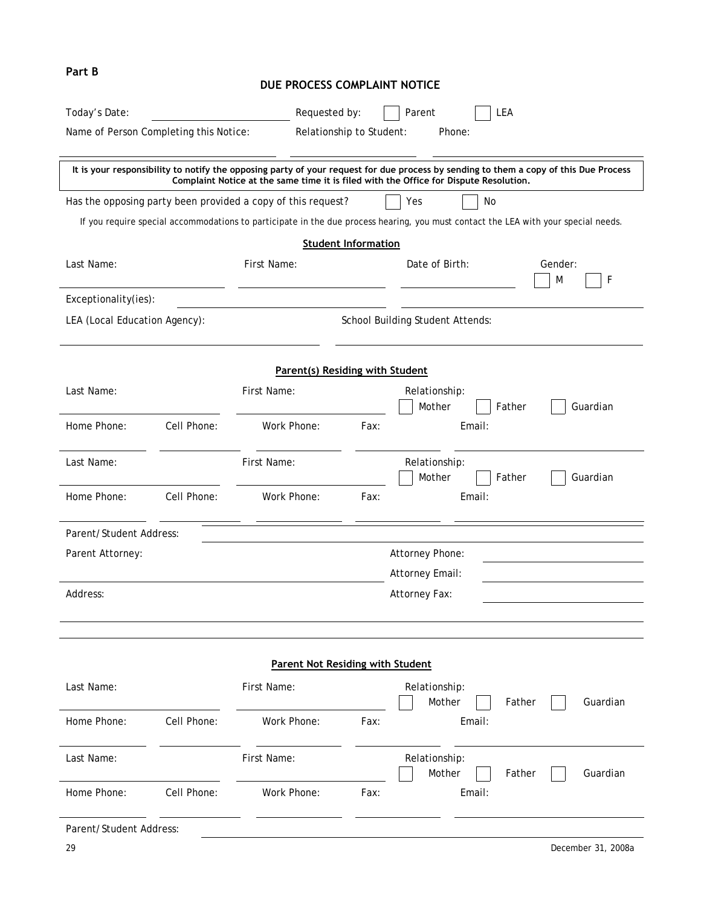<span id="page-31-0"></span>

| Part B                                                  |             | DUE PROCESS COMPLAINT NOTICE                                 |                                                                      |                                                                                                                                                                                                                               |  |
|---------------------------------------------------------|-------------|--------------------------------------------------------------|----------------------------------------------------------------------|-------------------------------------------------------------------------------------------------------------------------------------------------------------------------------------------------------------------------------|--|
| Today's Date:<br>Name of Person Completing this Notice: |             |                                                              | Parent<br>LEA<br>Requested by:<br>Relationship to Student:<br>Phone: |                                                                                                                                                                                                                               |  |
|                                                         |             |                                                              |                                                                      | It is your responsibility to notify the opposing party of your request for due process by sending to them a copy of this Due Process<br>Complaint Notice at the same time it is filed with the Office for Dispute Resolution. |  |
|                                                         |             | Has the opposing party been provided a copy of this request? |                                                                      | Yes<br>No<br>If you require special accommodations to participate in the due process hearing, you must contact the LEA with your special needs.                                                                               |  |
| Last Name:                                              |             | First Name:                                                  | <b>Student Information</b>                                           | Date of Birth:<br>Gender:<br>F<br>M                                                                                                                                                                                           |  |
| Exceptionality(ies):                                    |             |                                                              |                                                                      |                                                                                                                                                                                                                               |  |
| LEA (Local Education Agency):                           |             |                                                              |                                                                      | School Building Student Attends:                                                                                                                                                                                              |  |
|                                                         |             | Parent(s) Residing with Student                              |                                                                      |                                                                                                                                                                                                                               |  |
| Last Name:                                              |             | First Name:                                                  |                                                                      | Relationship:<br>Mother<br>Guardian<br>Father                                                                                                                                                                                 |  |
| Home Phone:                                             | Cell Phone: | Work Phone:                                                  | Fax:                                                                 | Email:                                                                                                                                                                                                                        |  |
| Last Name:                                              |             | First Name:                                                  |                                                                      | Relationship:<br>Mother<br>Guardian<br>Father                                                                                                                                                                                 |  |
| Home Phone:                                             | Cell Phone: | Work Phone:                                                  | Fax:                                                                 | Email:                                                                                                                                                                                                                        |  |
| Parent/Student Address:                                 |             |                                                              |                                                                      |                                                                                                                                                                                                                               |  |
| Parent Attorney:                                        |             |                                                              |                                                                      | Attorney Phone:<br>Attorney Email:                                                                                                                                                                                            |  |
| Address:                                                |             |                                                              |                                                                      | Attorney Fax:                                                                                                                                                                                                                 |  |
|                                                         |             | <b>Parent Not Residing with Student</b>                      |                                                                      |                                                                                                                                                                                                                               |  |
| Last Name:                                              |             | First Name:                                                  |                                                                      | Relationship:<br>Mother<br>Guardian<br>Father                                                                                                                                                                                 |  |
| Home Phone:                                             | Cell Phone: | Work Phone:                                                  | Fax:                                                                 | Email:                                                                                                                                                                                                                        |  |
| Last Name:                                              |             | First Name:                                                  |                                                                      | Relationship:<br>Mother<br>Guardian<br>Father                                                                                                                                                                                 |  |
| Home Phone:                                             | Cell Phone: | Work Phone:                                                  | Fax:                                                                 | Email:                                                                                                                                                                                                                        |  |
| Parent/Student Address:                                 |             |                                                              |                                                                      |                                                                                                                                                                                                                               |  |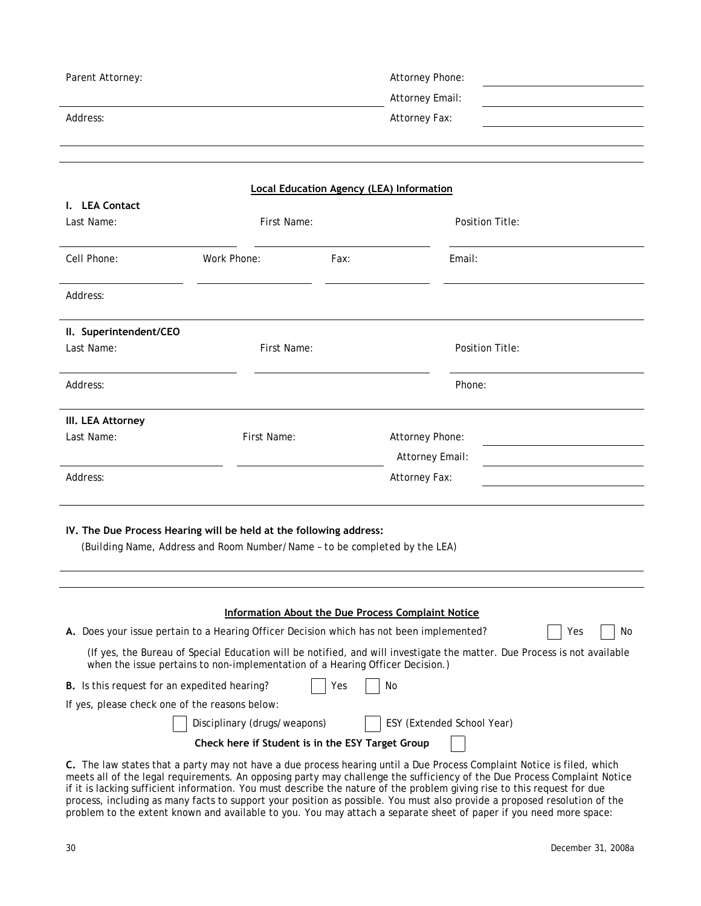| Parent Attorney:                                    |                                                                                                                                                  |      | Attorney Phone:                                                                                                                                                                                               |    |
|-----------------------------------------------------|--------------------------------------------------------------------------------------------------------------------------------------------------|------|---------------------------------------------------------------------------------------------------------------------------------------------------------------------------------------------------------------|----|
|                                                     |                                                                                                                                                  |      | Attorney Email:                                                                                                                                                                                               |    |
| Address:                                            |                                                                                                                                                  |      | Attorney Fax:                                                                                                                                                                                                 |    |
|                                                     |                                                                                                                                                  |      |                                                                                                                                                                                                               |    |
|                                                     |                                                                                                                                                  |      |                                                                                                                                                                                                               |    |
|                                                     |                                                                                                                                                  |      | <b>Local Education Agency (LEA) Information</b>                                                                                                                                                               |    |
| I. LEA Contact                                      |                                                                                                                                                  |      |                                                                                                                                                                                                               |    |
| Last Name:                                          | First Name:                                                                                                                                      |      | Position Title:                                                                                                                                                                                               |    |
| Cell Phone:                                         | Work Phone:                                                                                                                                      | Fax: | Email:                                                                                                                                                                                                        |    |
| Address:                                            |                                                                                                                                                  |      |                                                                                                                                                                                                               |    |
| II. Superintendent/CEO                              |                                                                                                                                                  |      |                                                                                                                                                                                                               |    |
| Last Name:                                          | First Name:                                                                                                                                      |      | Position Title:                                                                                                                                                                                               |    |
| Address:                                            |                                                                                                                                                  |      | Phone:                                                                                                                                                                                                        |    |
| III. LEA Attorney                                   |                                                                                                                                                  |      |                                                                                                                                                                                                               |    |
| Last Name:                                          | First Name:                                                                                                                                      |      | Attorney Phone:                                                                                                                                                                                               |    |
|                                                     |                                                                                                                                                  |      | Attorney Email:                                                                                                                                                                                               |    |
| Address:                                            |                                                                                                                                                  |      | Attorney Fax:                                                                                                                                                                                                 |    |
|                                                     |                                                                                                                                                  |      |                                                                                                                                                                                                               |    |
|                                                     | IV. The Due Process Hearing will be held at the following address:<br>(Building Name, Address and Room Number/Name - to be completed by the LEA) |      |                                                                                                                                                                                                               |    |
|                                                     |                                                                                                                                                  |      |                                                                                                                                                                                                               |    |
|                                                     |                                                                                                                                                  |      | <b>Information About the Due Process Complaint Notice</b>                                                                                                                                                     |    |
|                                                     | A. Does your issue pertain to a Hearing Officer Decision which has not been implemented?                                                         |      | Yes                                                                                                                                                                                                           | No |
|                                                     | when the issue pertains to non-implementation of a Hearing Officer Decision.)                                                                    |      | (If yes, the Bureau of Special Education will be notified, and will investigate the matter. Due Process is not available                                                                                      |    |
| <b>B.</b> Is this request for an expedited hearing? |                                                                                                                                                  | Yes  | No                                                                                                                                                                                                            |    |
| If yes, please check one of the reasons below:      |                                                                                                                                                  |      |                                                                                                                                                                                                               |    |
|                                                     | Disciplinary (drugs/weapons)                                                                                                                     |      | ESY (Extended School Year)                                                                                                                                                                                    |    |
| Check here if Student is in the ESY Target Group    |                                                                                                                                                  |      |                                                                                                                                                                                                               |    |
|                                                     |                                                                                                                                                  |      | C. The law states that a party may not have a due process hearing until a Due Process Complaint Notice is filed, which<br>requirements. An enneaing porty may obellongs the oufficiency of the Due Dresses Ca |    |

meets all of the legal requirements. An opposing party may challenge the sufficiency of the Due Process Complaint Notice if it is lacking sufficient information. You must describe the nature of the problem giving rise to this request for due process, including as many facts to support your position as possible. You must also provide a proposed resolution of the problem to the extent known and available to you. You may attach a separate sheet of paper if you need more space: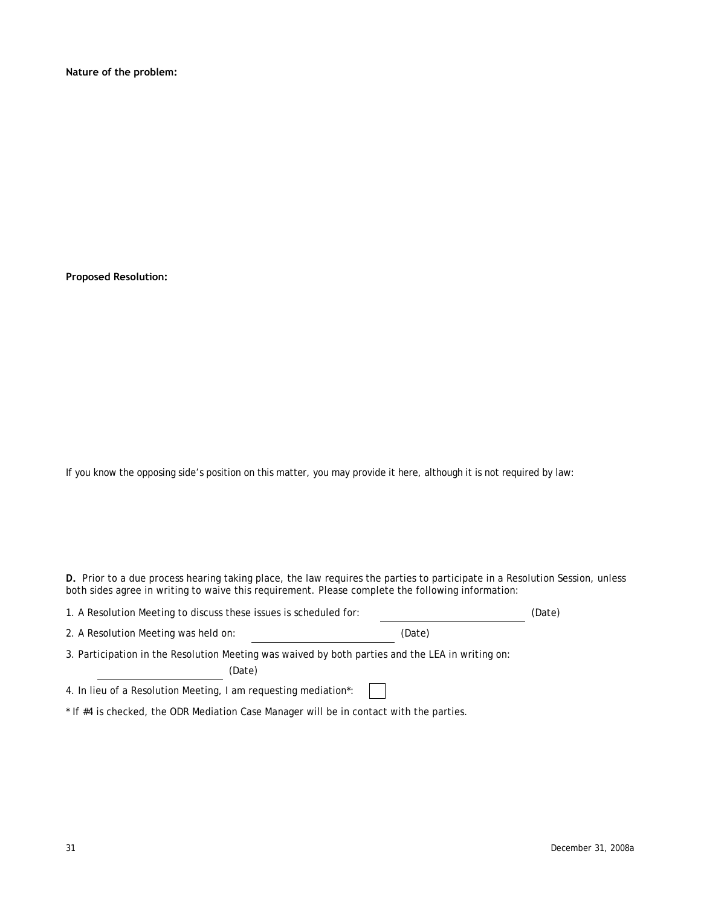**Nature of the problem:**

**Proposed Resolution:** 

If you know the opposing side's position on this matter, you may provide it here, although it is not required by law:

D. Prior to a due process hearing taking place, the law requires the parties to participate in a Resolution Session, unless both sides agree in writing to waive this requirement. Please complete the following information:

| 1. A Resolution Meeting to discuss these issues is scheduled for:                                |        | (Date) |
|--------------------------------------------------------------------------------------------------|--------|--------|
| 2. A Resolution Meeting was held on:                                                             | (Date) |        |
| 3. Participation in the Resolution Meeting was waived by both parties and the LEA in writing on: |        |        |
| (Date)                                                                                           |        |        |
| 4. In lieu of a Resolution Meeting, I am requesting mediation*:                                  |        |        |

\* If #4 is checked, the ODR Mediation Case Manager will be in contact with the parties.